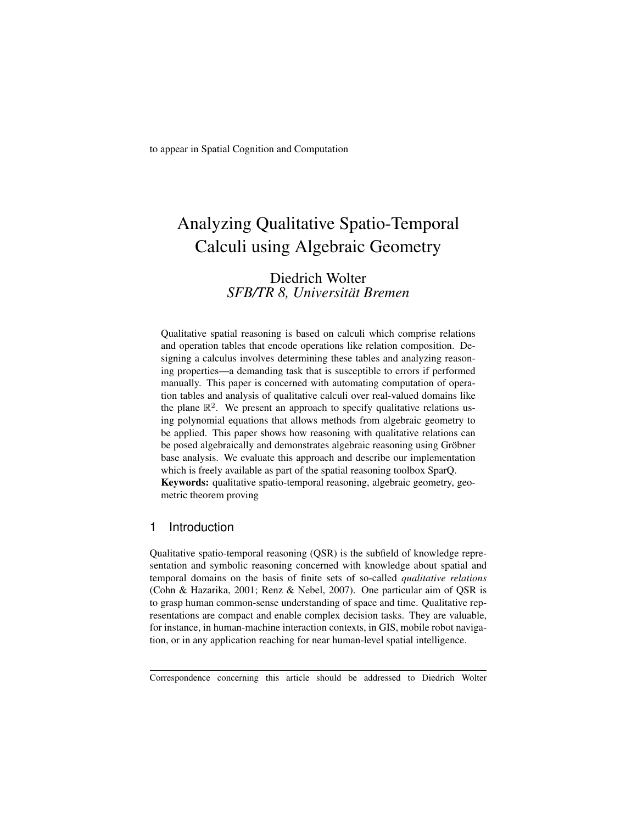to appear in Spatial Cognition and Computation

# Analyzing Qualitative Spatio-Temporal Calculi using Algebraic Geometry

# Diedrich Wolter *SFB/TR 8, Universitat Bremen ¨*

Qualitative spatial reasoning is based on calculi which comprise relations and operation tables that encode operations like relation composition. Designing a calculus involves determining these tables and analyzing reasoning properties—a demanding task that is susceptible to errors if performed manually. This paper is concerned with automating computation of operation tables and analysis of qualitative calculi over real-valued domains like the plane  $\mathbb{R}^2$ . We present an approach to specify qualitative relations using polynomial equations that allows methods from algebraic geometry to be applied. This paper shows how reasoning with qualitative relations can be posed algebraically and demonstrates algebraic reasoning using Gröbner base analysis. We evaluate this approach and describe our implementation which is freely available as part of the spatial reasoning toolbox SparQ. Keywords: qualitative spatio-temporal reasoning, algebraic geometry, geometric theorem proving

## 1 Introduction

Qualitative spatio-temporal reasoning (QSR) is the subfield of knowledge representation and symbolic reasoning concerned with knowledge about spatial and temporal domains on the basis of finite sets of so-called *qualitative relations* (Cohn & Hazarika, 2001; Renz & Nebel, 2007). One particular aim of QSR is to grasp human common-sense understanding of space and time. Qualitative representations are compact and enable complex decision tasks. They are valuable, for instance, in human-machine interaction contexts, in GIS, mobile robot navigation, or in any application reaching for near human-level spatial intelligence.

Correspondence concerning this article should be addressed to Diedrich Wolter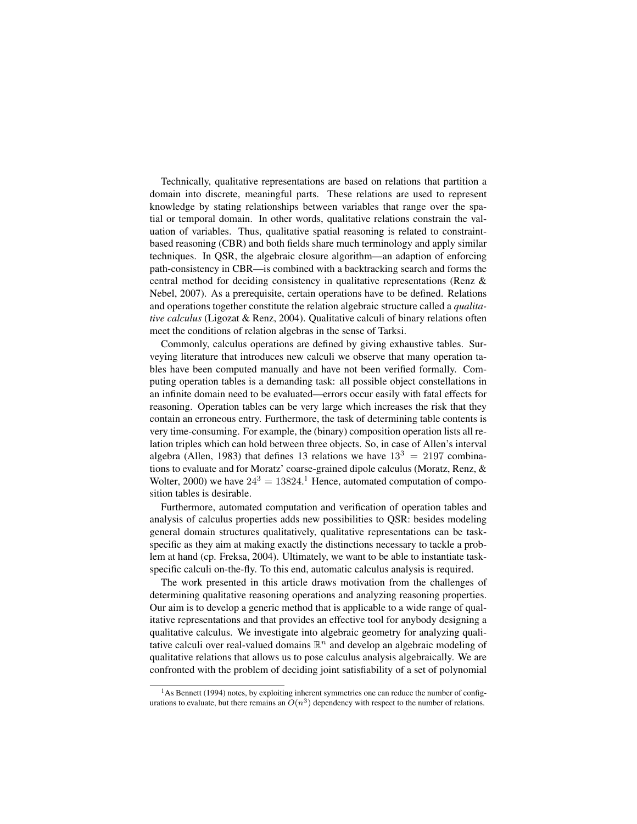Technically, qualitative representations are based on relations that partition a domain into discrete, meaningful parts. These relations are used to represent knowledge by stating relationships between variables that range over the spatial or temporal domain. In other words, qualitative relations constrain the valuation of variables. Thus, qualitative spatial reasoning is related to constraintbased reasoning (CBR) and both fields share much terminology and apply similar techniques. In QSR, the algebraic closure algorithm—an adaption of enforcing path-consistency in CBR—is combined with a backtracking search and forms the central method for deciding consistency in qualitative representations (Renz & Nebel, 2007). As a prerequisite, certain operations have to be defined. Relations and operations together constitute the relation algebraic structure called a *qualitative calculus* (Ligozat & Renz, 2004). Qualitative calculi of binary relations often meet the conditions of relation algebras in the sense of Tarksi.

Commonly, calculus operations are defined by giving exhaustive tables. Surveying literature that introduces new calculi we observe that many operation tables have been computed manually and have not been verified formally. Computing operation tables is a demanding task: all possible object constellations in an infinite domain need to be evaluated—errors occur easily with fatal effects for reasoning. Operation tables can be very large which increases the risk that they contain an erroneous entry. Furthermore, the task of determining table contents is very time-consuming. For example, the (binary) composition operation lists all relation triples which can hold between three objects. So, in case of Allen's interval algebra (Allen, 1983) that defines 13 relations we have  $13<sup>3</sup> = 2197$  combinations to evaluate and for Moratz' coarse-grained dipole calculus (Moratz, Renz, & Wolter, 2000) we have  $24^3 = 13824$ .<sup>1</sup> Hence, automated computation of composition tables is desirable.

Furthermore, automated computation and verification of operation tables and analysis of calculus properties adds new possibilities to QSR: besides modeling general domain structures qualitatively, qualitative representations can be taskspecific as they aim at making exactly the distinctions necessary to tackle a problem at hand (cp. Freksa, 2004). Ultimately, we want to be able to instantiate taskspecific calculi on-the-fly. To this end, automatic calculus analysis is required.

The work presented in this article draws motivation from the challenges of determining qualitative reasoning operations and analyzing reasoning properties. Our aim is to develop a generic method that is applicable to a wide range of qualitative representations and that provides an effective tool for anybody designing a qualitative calculus. We investigate into algebraic geometry for analyzing qualitative calculi over real-valued domains  $\mathbb{R}^n$  and develop an algebraic modeling of qualitative relations that allows us to pose calculus analysis algebraically. We are confronted with the problem of deciding joint satisfiability of a set of polynomial

<sup>&</sup>lt;sup>1</sup>As Bennett (1994) notes, by exploiting inherent symmetries one can reduce the number of configurations to evaluate, but there remains an  $O(n^3)$  dependency with respect to the number of relations.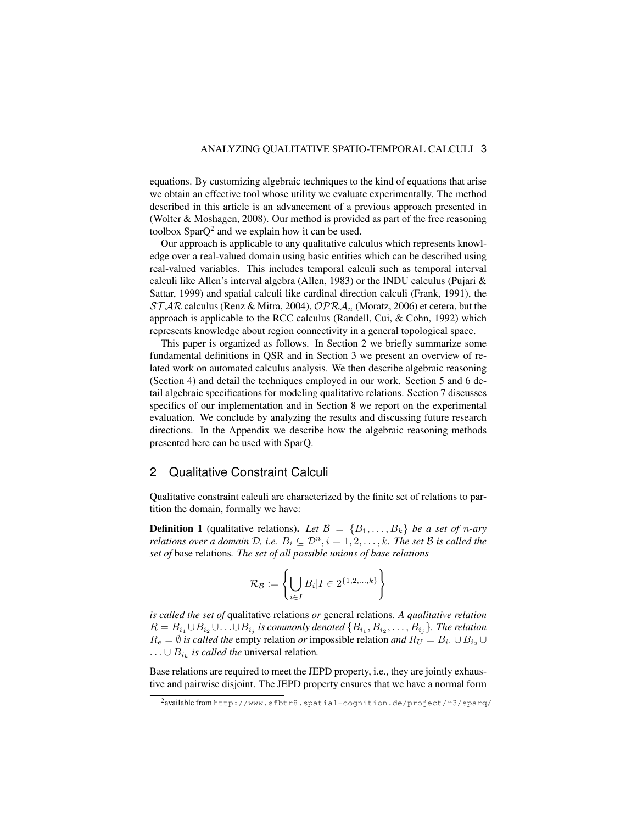equations. By customizing algebraic techniques to the kind of equations that arise we obtain an effective tool whose utility we evaluate experimentally. The method described in this article is an advancement of a previous approach presented in (Wolter & Moshagen, 2008). Our method is provided as part of the free reasoning toolbox Spar $Q^2$  and we explain how it can be used.

Our approach is applicable to any qualitative calculus which represents knowledge over a real-valued domain using basic entities which can be described using real-valued variables. This includes temporal calculi such as temporal interval calculi like Allen's interval algebra (Allen, 1983) or the INDU calculus (Pujari & Sattar, 1999) and spatial calculi like cardinal direction calculi (Frank, 1991), the  $STAR$  calculus (Renz & Mitra, 2004),  $OPRA_n$  (Moratz, 2006) et cetera, but the approach is applicable to the RCC calculus (Randell, Cui, & Cohn, 1992) which represents knowledge about region connectivity in a general topological space.

This paper is organized as follows. In Section 2 we briefly summarize some fundamental definitions in QSR and in Section 3 we present an overview of related work on automated calculus analysis. We then describe algebraic reasoning (Section 4) and detail the techniques employed in our work. Section 5 and 6 detail algebraic specifications for modeling qualitative relations. Section 7 discusses specifics of our implementation and in Section 8 we report on the experimental evaluation. We conclude by analyzing the results and discussing future research directions. In the Appendix we describe how the algebraic reasoning methods presented here can be used with SparQ.

#### 2 Qualitative Constraint Calculi

Qualitative constraint calculi are characterized by the finite set of relations to partition the domain, formally we have:

**Definition 1** (qualitative relations). Let  $\mathcal{B} = \{B_1, \ldots, B_k\}$  be a set of n-ary *relations over a domain*  $D$ , *i.e.*  $B_i \subseteq D^n$ ,  $i = 1, 2, \ldots, k$ *. The set*  $B$  *is called the set of* base relations*. The set of all possible unions of base relations*

$$
\mathcal{R}_{\mathcal{B}} := \left\{ \bigcup_{i \in I} B_i | I \in 2^{\{1, 2, \dots, k\}} \right\}
$$

*is called the set of* qualitative relations *or* general relations*. A qualitative relation*  $R=B_{i_1}\cup B_{i_2}\cup\ldots\cup B_{i_j}$  is commonly denoted  $\{B_{i_1},B_{i_2},\ldots,B_{i_j}\}.$  The relation  $R_e = \emptyset$  *is called the empty relation or impossible relation and*  $R_U = B_{i_1} \cup B_{i_2} \cup B_{i_3}$  $\dots \cup B_{i_k}$  *is called the universal relation.* 

Base relations are required to meet the JEPD property, i.e., they are jointly exhaustive and pairwise disjoint. The JEPD property ensures that we have a normal form

<sup>&</sup>lt;sup>2</sup>availablefromhttp://www.sfbtr8.spatial-cognition.de/project/r3/sparq/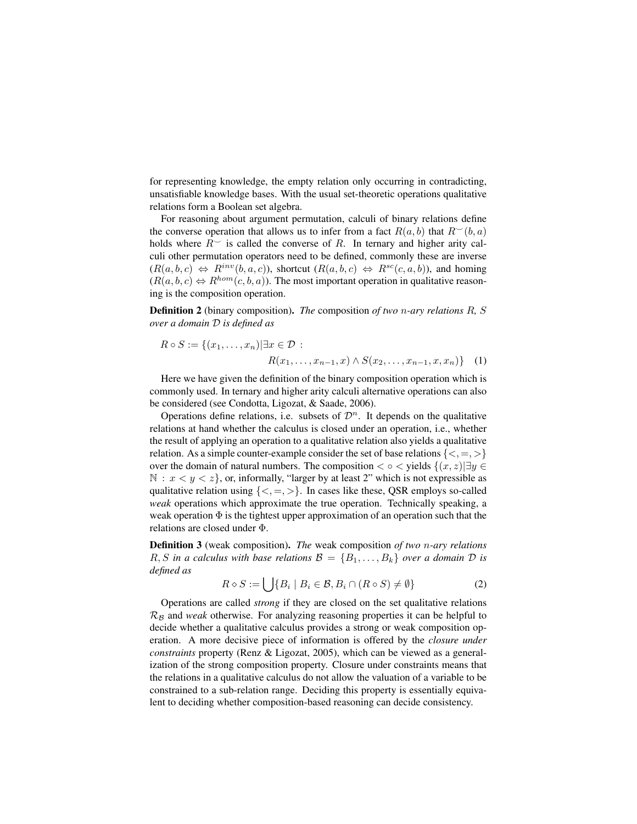for representing knowledge, the empty relation only occurring in contradicting, unsatisfiable knowledge bases. With the usual set-theoretic operations qualitative relations form a Boolean set algebra.

For reasoning about argument permutation, calculi of binary relations define the converse operation that allows us to infer from a fact  $R(a, b)$  that  $R^{\sim}(b, a)$ holds where  $R^{\sim}$  is called the converse of R. In ternary and higher arity calculi other permutation operators need to be defined, commonly these are inverse  $(R(a, b, c) \Leftrightarrow R^{inv}(b, a, c))$ , shortcut  $(R(a, b, c) \Leftrightarrow R^{sc}(c, a, b))$ , and homing  $(R(a, b, c) \Leftrightarrow R^{hom}(c, b, a))$ . The most important operation in qualitative reasoning is the composition operation.

Definition 2 (binary composition). *The* composition *of two* n*-ary relations* R*,* S *over a domain* D *is defined as*

$$
R \circ S := \{(x_1, \dots, x_n) | \exists x \in \mathcal{D} : R(x_1, \dots, x_{n-1}, x) \land S(x_2, \dots, x_{n-1}, x, x_n) \} \quad (1)
$$

Here we have given the definition of the binary composition operation which is commonly used. In ternary and higher arity calculi alternative operations can also be considered (see Condotta, Ligozat, & Saade, 2006).

Operations define relations, i.e. subsets of  $\mathcal{D}^n$ . It depends on the qualitative relations at hand whether the calculus is closed under an operation, i.e., whether the result of applying an operation to a qualitative relation also yields a qualitative relation. As a simple counter-example consider the set of base relations  $\{<, =, >\}$ over the domain of natural numbers. The composition  $\langle \circ \rangle$   $\langle$  yields  $\{(x, z) | \exists y \in \rangle\}$  $\mathbb{N}: x < y < z$ , or, informally, "larger by at least 2" which is not expressible as qualitative relation using  $\{\langle , =, \rangle \}$ . In cases like these, QSR employs so-called *weak* operations which approximate the true operation. Technically speaking, a weak operation  $\Phi$  is the tightest upper approximation of an operation such that the relations are closed under Φ.

Definition 3 (weak composition). *The* weak composition *of two* n*-ary relations*  $R, S$  *in a calculus with base relations*  $\mathcal{B} = \{B_1, \ldots, B_k\}$  *over a domain*  $D$  *is defined as*

$$
R \diamond S := \bigcup \{ B_i \mid B_i \in \mathcal{B}, B_i \cap (R \circ S) \neq \emptyset \} \tag{2}
$$

Operations are called *strong* if they are closed on the set qualitative relations  $\mathcal{R}_\mathcal{B}$  and *weak* otherwise. For analyzing reasoning properties it can be helpful to decide whether a qualitative calculus provides a strong or weak composition operation. A more decisive piece of information is offered by the *closure under constraints* property (Renz & Ligozat, 2005), which can be viewed as a generalization of the strong composition property. Closure under constraints means that the relations in a qualitative calculus do not allow the valuation of a variable to be constrained to a sub-relation range. Deciding this property is essentially equivalent to deciding whether composition-based reasoning can decide consistency.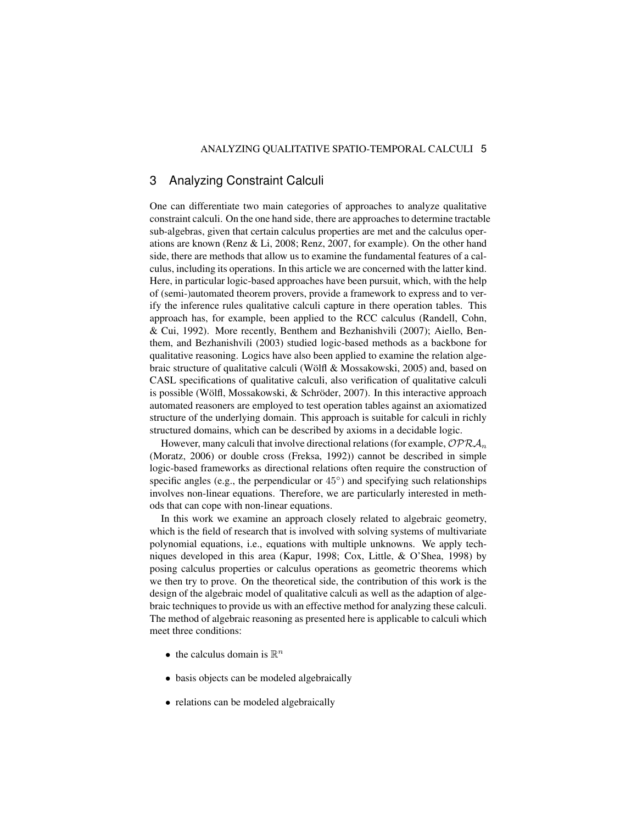## 3 Analyzing Constraint Calculi

One can differentiate two main categories of approaches to analyze qualitative constraint calculi. On the one hand side, there are approaches to determine tractable sub-algebras, given that certain calculus properties are met and the calculus operations are known (Renz & Li, 2008; Renz, 2007, for example). On the other hand side, there are methods that allow us to examine the fundamental features of a calculus, including its operations. In this article we are concerned with the latter kind. Here, in particular logic-based approaches have been pursuit, which, with the help of (semi-)automated theorem provers, provide a framework to express and to verify the inference rules qualitative calculi capture in there operation tables. This approach has, for example, been applied to the RCC calculus (Randell, Cohn, & Cui, 1992). More recently, Benthem and Bezhanishvili (2007); Aiello, Benthem, and Bezhanishvili (2003) studied logic-based methods as a backbone for qualitative reasoning. Logics have also been applied to examine the relation algebraic structure of qualitative calculi (Wölfl & Mossakowski, 2005) and, based on CASL specifications of qualitative calculi, also verification of qualitative calculi is possible (Wölfl, Mossakowski, & Schröder, 2007). In this interactive approach automated reasoners are employed to test operation tables against an axiomatized structure of the underlying domain. This approach is suitable for calculi in richly structured domains, which can be described by axioms in a decidable logic.

However, many calculi that involve directional relations (for example,  $\mathcal{OPRA}_n$ ) (Moratz, 2006) or double cross (Freksa, 1992)) cannot be described in simple logic-based frameworks as directional relations often require the construction of specific angles (e.g., the perpendicular or  $45^{\circ}$ ) and specifying such relationships involves non-linear equations. Therefore, we are particularly interested in methods that can cope with non-linear equations.

In this work we examine an approach closely related to algebraic geometry, which is the field of research that is involved with solving systems of multivariate polynomial equations, i.e., equations with multiple unknowns. We apply techniques developed in this area (Kapur, 1998; Cox, Little, & O'Shea, 1998) by posing calculus properties or calculus operations as geometric theorems which we then try to prove. On the theoretical side, the contribution of this work is the design of the algebraic model of qualitative calculi as well as the adaption of algebraic techniques to provide us with an effective method for analyzing these calculi. The method of algebraic reasoning as presented here is applicable to calculi which meet three conditions:

- the calculus domain is  $\mathbb{R}^n$
- basis objects can be modeled algebraically
- relations can be modeled algebraically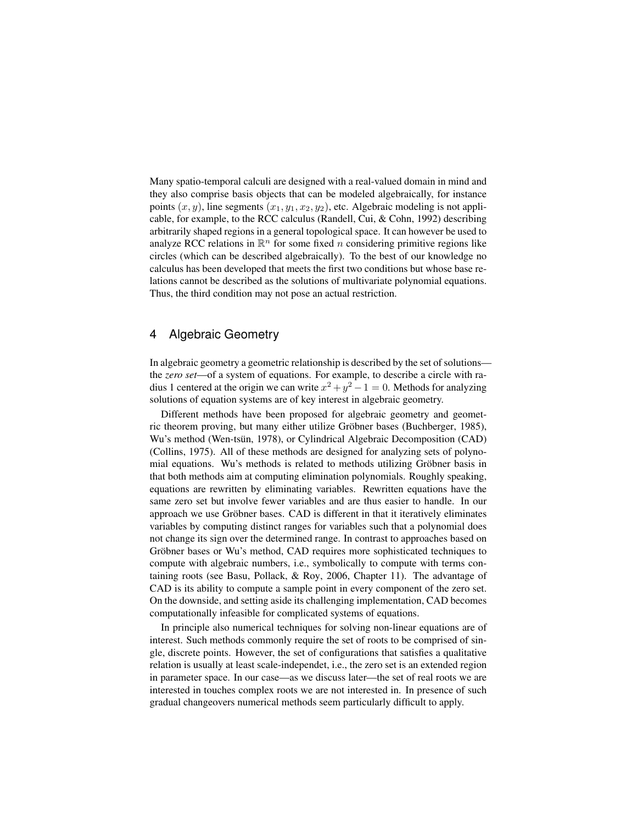Many spatio-temporal calculi are designed with a real-valued domain in mind and they also comprise basis objects that can be modeled algebraically, for instance points  $(x, y)$ , line segments  $(x_1, y_1, x_2, y_2)$ , etc. Algebraic modeling is not applicable, for example, to the RCC calculus (Randell, Cui, & Cohn, 1992) describing arbitrarily shaped regions in a general topological space. It can however be used to analyze RCC relations in  $\mathbb{R}^n$  for some fixed n considering primitive regions like circles (which can be described algebraically). To the best of our knowledge no calculus has been developed that meets the first two conditions but whose base relations cannot be described as the solutions of multivariate polynomial equations. Thus, the third condition may not pose an actual restriction.

## 4 Algebraic Geometry

In algebraic geometry a geometric relationship is described by the set of solutions the *zero set*—of a system of equations. For example, to describe a circle with radius 1 centered at the origin we can write  $x^2 + y^2 - 1 = 0$ . Methods for analyzing solutions of equation systems are of key interest in algebraic geometry.

Different methods have been proposed for algebraic geometry and geometric theorem proving, but many either utilize Gröbner bases (Buchberger, 1985), Wu's method (Wen-tsun, 1978), or Cylindrical Algebraic Decomposition (CAD) (Collins, 1975). All of these methods are designed for analyzing sets of polynomial equations. Wu's methods is related to methods utilizing Gröbner basis in that both methods aim at computing elimination polynomials. Roughly speaking, equations are rewritten by eliminating variables. Rewritten equations have the same zero set but involve fewer variables and are thus easier to handle. In our approach we use Gröbner bases. CAD is different in that it iteratively eliminates variables by computing distinct ranges for variables such that a polynomial does not change its sign over the determined range. In contrast to approaches based on Gröbner bases or Wu's method, CAD requires more sophisticated techniques to compute with algebraic numbers, i.e., symbolically to compute with terms containing roots (see Basu, Pollack, & Roy, 2006, Chapter 11). The advantage of CAD is its ability to compute a sample point in every component of the zero set. On the downside, and setting aside its challenging implementation, CAD becomes computationally infeasible for complicated systems of equations.

In principle also numerical techniques for solving non-linear equations are of interest. Such methods commonly require the set of roots to be comprised of single, discrete points. However, the set of configurations that satisfies a qualitative relation is usually at least scale-independet, i.e., the zero set is an extended region in parameter space. In our case—as we discuss later—the set of real roots we are interested in touches complex roots we are not interested in. In presence of such gradual changeovers numerical methods seem particularly difficult to apply.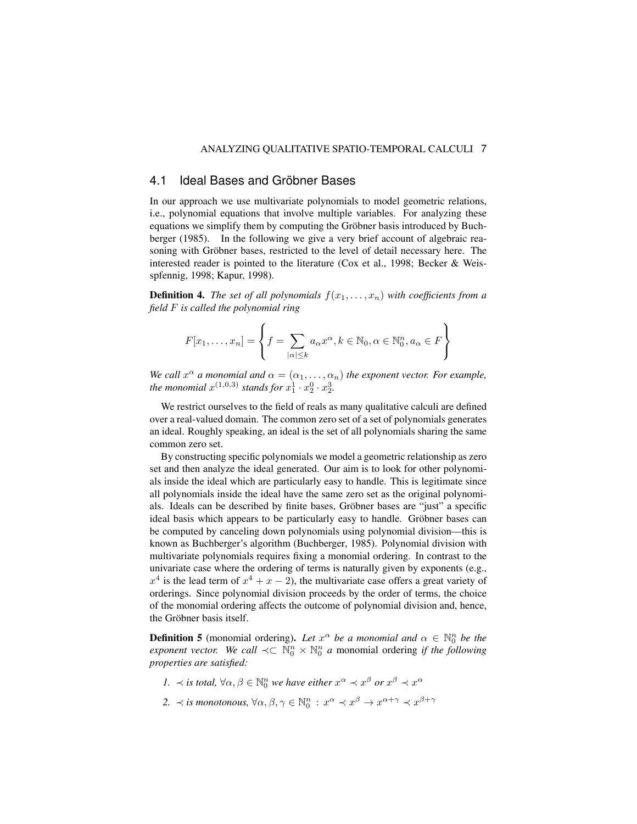## 4.1 Ideal Bases and Gröbner Bases

In our approach we use multivariate polynomials to model geometric relations, i.e., polynomial equations that involve multiple variables. For analyzing these equations we simplify them by computing the Gröbner basis introduced by Buchberger (1985). In the following we give a very brief account of algebraic reasoning with Gröbner bases, restricted to the level of detail necessary here. The interested reader is pointed to the literature (Cox et al., 1998; Becker & Weisspfennig, 1998; Kapur, 1998).

**Definition 4.** *The set of all polynomials*  $f(x_1, \ldots, x_n)$  *with coefficients from a field* F *is called the polynomial ring*

$$
F[x_1, \ldots, x_n] = \left\{ f = \sum_{|\alpha| \le k} a_\alpha x^\alpha, k \in \mathbb{N}_0, \alpha \in \mathbb{N}_0^n, a_\alpha \in F \right\}
$$

*We call*  $x^{\alpha}$  *a* monomial and  $\alpha = (\alpha_1, \dots, \alpha_n)$  the exponent vector. For example, *the monomial*  $x^{(1,0,3)}$  *stands for*  $x_1^1 \cdot x_2^0 \cdot x_2^3$ *.* 

We restrict ourselves to the field of reals as many qualitative calculi are defined over a real-valued domain. The common zero set of a set of polynomials generates an ideal. Roughly speaking, an ideal is the set of all polynomials sharing the same common zero set.

By constructing specific polynomials we model a geometric relationship as zero set and then analyze the ideal generated. Our aim is to look for other polynomials inside the ideal which are particularly easy to handle. This is legitimate since all polynomials inside the ideal have the same zero set as the original polynomials. Ideals can be described by finite bases, Gröbner bases are "just" a specific ideal basis which appears to be particularly easy to handle. Gröbner bases can be computed by canceling down polynomials using polynomial division—this is known as Buchberger's algorithm (Buchberger, 1985). Polynomial division with multivariate polynomials requires fixing a monomial ordering. In contrast to the univariate case where the ordering of terms is naturally given by exponents (e.g.,  $x^4$  is the lead term of  $x^4 + x - 2$ ), the multivariate case offers a great variety of orderings. Since polynomial division proceeds by the order of terms, the choice of the monomial ordering affects the outcome of polynomial division and, hence, the Gröbner basis itself.

**Definition 5** (monomial ordering). Let  $x^{\alpha}$  be a monomial and  $\alpha \in \mathbb{N}_0^n$  be the *exponent vector.* We call  $\prec \subset \mathbb{N}_0^n \times \mathbb{N}_0^n$  a monomial ordering if the following *properties are satisfied:*

- *1.*  $\prec$  *is total,*  $\forall \alpha, \beta \in \mathbb{N}_0^n$  *we have either*  $x^{\alpha} \prec x^{\beta}$  *or*  $x^{\beta} \prec x^{\alpha}$
- 2.  $\prec$  *is monotonous,*  $\forall \alpha, \beta, \gamma \in \mathbb{N}_0^n : x^\alpha \prec x^\beta \to x^{\alpha+\gamma} \prec x^{\beta+\gamma}$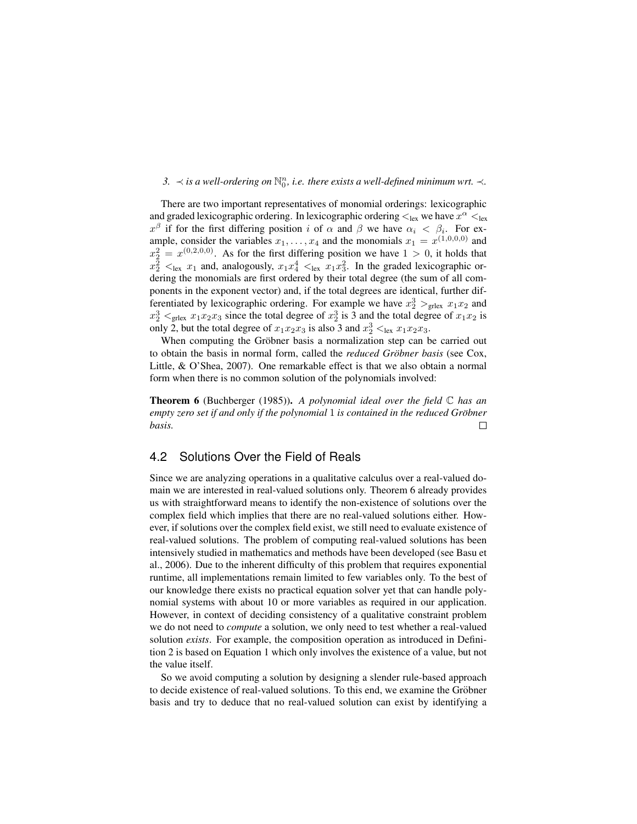# 3.  $\prec$  *is a well-ordering on*  $\mathbb{N}_0^n$ , *i.e. there exists a well-defined minimum wrt.*  $\prec$ *.*

There are two important representatives of monomial orderings: lexicographic and graded lexicographic ordering. In lexicographic ordering  $\lt_{\text{lex}}$  we have  $x^\alpha \lt_{\text{lex}}$  $x^{\beta}$  if for the first differing position i of  $\alpha$  and  $\beta$  we have  $\alpha_i < \beta_i$ . For example, consider the variables  $x_1, \ldots, x_4$  and the monomials  $x_1 = x^{(1,0,0,0)}$  and  $x_2^2 = x^{(0,2,0,0)}$ . As for the first differing position we have  $1 > 0$ , it holds that  $x_2^2$   $\lt_{\text{lex}}$   $x_1$  and, analogously,  $x_1x_4^4$   $\lt_{\text{lex}}$   $x_1x_3^2$ . In the graded lexicographic ordering the monomials are first ordered by their total degree (the sum of all components in the exponent vector) and, if the total degrees are identical, further differentiated by lexicographic ordering. For example we have  $x_2^3$   $>_{\text{grlex}} x_1x_2$  and  $x_2^3$   $\leq$ <sub>grlex</sub>  $x_1x_2x_3$  since the total degree of  $x_2^3$  is 3 and the total degree of  $x_1x_2$  is only 2, but the total degree of  $x_1x_2x_3$  is also 3 and  $x_2^3 <$ <sub>lex</sub>  $x_1x_2x_3$ .

When computing the Gröbner basis a normalization step can be carried out to obtain the basis in normal form, called the *reduced Gröbner basis* (see Cox, Little, & O'Shea, 2007). One remarkable effect is that we also obtain a normal form when there is no common solution of the polynomials involved:

Theorem 6 (Buchberger (1985)). *A polynomial ideal over the field* C *has an empty zero set if and only if the polynomial* 1 *is contained in the reduced Grobner ¨ basis.*  $\Box$ 

## 4.2 Solutions Over the Field of Reals

Since we are analyzing operations in a qualitative calculus over a real-valued domain we are interested in real-valued solutions only. Theorem 6 already provides us with straightforward means to identify the non-existence of solutions over the complex field which implies that there are no real-valued solutions either. However, if solutions over the complex field exist, we still need to evaluate existence of real-valued solutions. The problem of computing real-valued solutions has been intensively studied in mathematics and methods have been developed (see Basu et al., 2006). Due to the inherent difficulty of this problem that requires exponential runtime, all implementations remain limited to few variables only. To the best of our knowledge there exists no practical equation solver yet that can handle polynomial systems with about 10 or more variables as required in our application. However, in context of deciding consistency of a qualitative constraint problem we do not need to *compute* a solution, we only need to test whether a real-valued solution *exists*. For example, the composition operation as introduced in Definition 2 is based on Equation 1 which only involves the existence of a value, but not the value itself.

So we avoid computing a solution by designing a slender rule-based approach to decide existence of real-valued solutions. To this end, we examine the Gröbner basis and try to deduce that no real-valued solution can exist by identifying a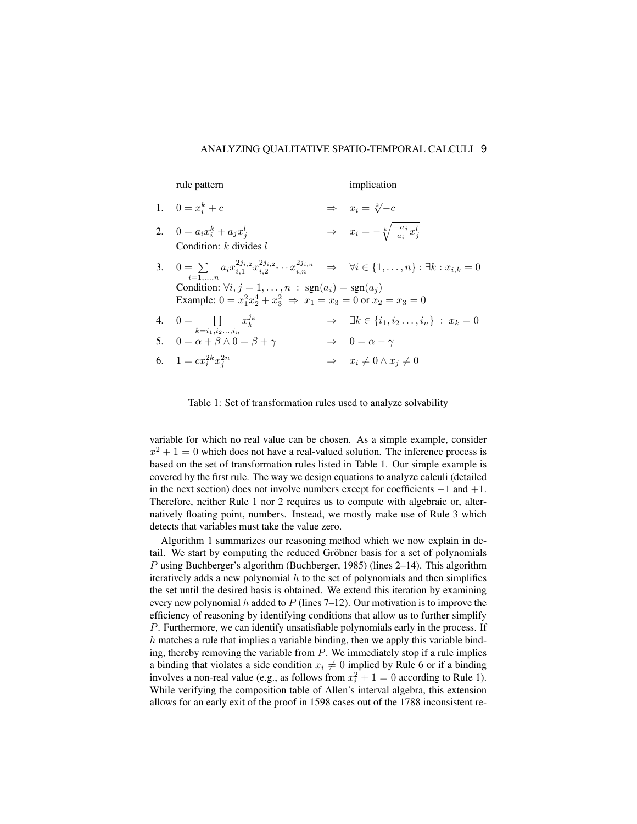| rule pattern                                                                                                                                                             | implication                                                   |
|--------------------------------------------------------------------------------------------------------------------------------------------------------------------------|---------------------------------------------------------------|
| 1. $0 = x_i^k + c$                                                                                                                                                       | $\Rightarrow x_i = \sqrt[k]{-c}$                              |
| 2. $0 = a_i x_i^k + a_j x_i^l$                                                                                                                                           | $\Rightarrow x_i = -\sqrt[k]{\frac{-a_j}{a_i}}x_j^l$          |
| Condition: $k$ divides $l$                                                                                                                                               |                                                               |
| 3. $0 = \sum a_i x_{i,1}^{2j_{i,2}} x_{i,2}^{2j_{i,2}} \cdots x_{i,n}^{2j_{i,n}} \Rightarrow \forall i \in \{1, \ldots, n\} : \exists k : x_{i,k} = 0$<br>$i=1,\ldots,n$ |                                                               |
| Condition: $\forall i, j = 1, , n : sgn(a_i) = sgn(a_i)$                                                                                                                 |                                                               |
| Example: $0 = x_1^2 x_2^4 + x_3^2 \Rightarrow x_1 = x_3 = 0$ or $x_2 = x_3 = 0$                                                                                          |                                                               |
| 4. $0 = \prod_{k} x_k^{j_k}$<br>$k = i_1, i_2, \ldots, i_n$                                                                                                              | $\Rightarrow \exists k \in \{i_1, i_2 \dots, i_n\} : x_k = 0$ |
| 5. $0 = \alpha + \beta \wedge 0 = \beta + \gamma$                                                                                                                        | $\Rightarrow 0 = \alpha - \gamma$                             |
| 6. $1 = cx_i^{2k}x_i^{2n}$                                                                                                                                               | $\Rightarrow x_i \neq 0 \wedge x_j \neq 0$                    |

Table 1: Set of transformation rules used to analyze solvability

variable for which no real value can be chosen. As a simple example, consider  $x^2 + 1 = 0$  which does not have a real-valued solution. The inference process is based on the set of transformation rules listed in Table 1. Our simple example is covered by the first rule. The way we design equations to analyze calculi (detailed in the next section) does not involve numbers except for coefficients  $-1$  and  $+1$ . Therefore, neither Rule 1 nor 2 requires us to compute with algebraic or, alternatively floating point, numbers. Instead, we mostly make use of Rule 3 which detects that variables must take the value zero.

Algorithm 1 summarizes our reasoning method which we now explain in detail. We start by computing the reduced Gröbner basis for a set of polynomials P using Buchberger's algorithm (Buchberger, 1985) (lines 2–14). This algorithm iteratively adds a new polynomial  $h$  to the set of polynomials and then simplifies the set until the desired basis is obtained. We extend this iteration by examining every new polynomial h added to  $P$  (lines 7–12). Our motivation is to improve the efficiency of reasoning by identifying conditions that allow us to further simplify P. Furthermore, we can identify unsatisfiable polynomials early in the process. If  $h$  matches a rule that implies a variable binding, then we apply this variable binding, thereby removing the variable from  $P$ . We immediately stop if a rule implies a binding that violates a side condition  $x_i \neq 0$  implied by Rule 6 or if a binding involves a non-real value (e.g., as follows from  $x_i^2 + 1 = 0$  according to Rule 1). While verifying the composition table of Allen's interval algebra, this extension allows for an early exit of the proof in 1598 cases out of the 1788 inconsistent re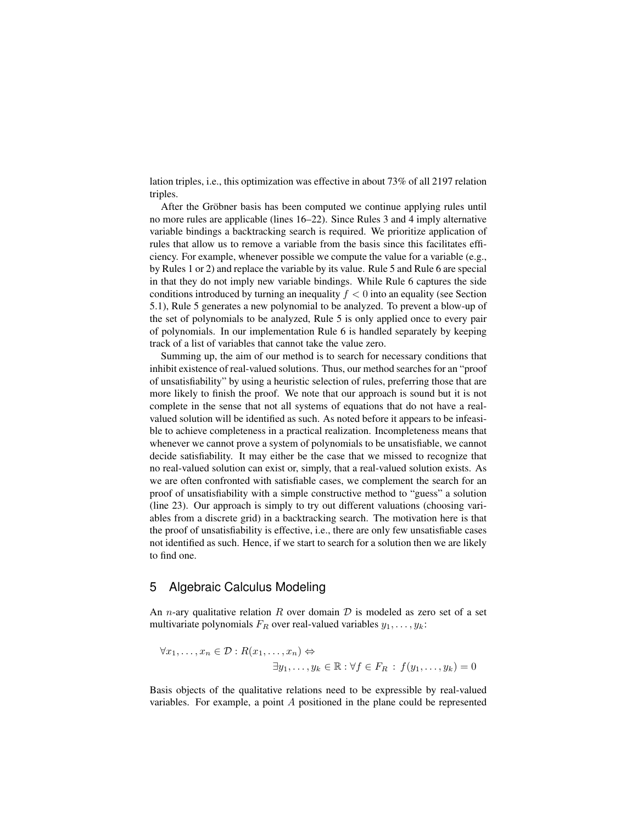lation triples, i.e., this optimization was effective in about 73% of all 2197 relation triples.

After the Gröbner basis has been computed we continue applying rules until no more rules are applicable (lines 16–22). Since Rules 3 and 4 imply alternative variable bindings a backtracking search is required. We prioritize application of rules that allow us to remove a variable from the basis since this facilitates efficiency. For example, whenever possible we compute the value for a variable (e.g., by Rules 1 or 2) and replace the variable by its value. Rule 5 and Rule 6 are special in that they do not imply new variable bindings. While Rule 6 captures the side conditions introduced by turning an inequality  $f < 0$  into an equality (see Section 5.1), Rule 5 generates a new polynomial to be analyzed. To prevent a blow-up of the set of polynomials to be analyzed, Rule 5 is only applied once to every pair of polynomials. In our implementation Rule 6 is handled separately by keeping track of a list of variables that cannot take the value zero.

Summing up, the aim of our method is to search for necessary conditions that inhibit existence of real-valued solutions. Thus, our method searches for an "proof of unsatisfiability" by using a heuristic selection of rules, preferring those that are more likely to finish the proof. We note that our approach is sound but it is not complete in the sense that not all systems of equations that do not have a realvalued solution will be identified as such. As noted before it appears to be infeasible to achieve completeness in a practical realization. Incompleteness means that whenever we cannot prove a system of polynomials to be unsatisfiable, we cannot decide satisfiability. It may either be the case that we missed to recognize that no real-valued solution can exist or, simply, that a real-valued solution exists. As we are often confronted with satisfiable cases, we complement the search for an proof of unsatisfiability with a simple constructive method to "guess" a solution (line 23). Our approach is simply to try out different valuations (choosing variables from a discrete grid) in a backtracking search. The motivation here is that the proof of unsatisfiability is effective, i.e., there are only few unsatisfiable cases not identified as such. Hence, if we start to search for a solution then we are likely to find one.

## 5 Algebraic Calculus Modeling

An *n*-ary qualitative relation R over domain  $D$  is modeled as zero set of a set multivariate polynomials  $F_R$  over real-valued variables  $y_1, \ldots, y_k$ :

$$
\forall x_1, \dots, x_n \in \mathcal{D} : R(x_1, \dots, x_n) \Leftrightarrow
$$
  

$$
\exists y_1, \dots, y_k \in \mathbb{R} : \forall f \in F_R : f(y_1, \dots, y_k) = 0
$$

Basis objects of the qualitative relations need to be expressible by real-valued variables. For example, a point A positioned in the plane could be represented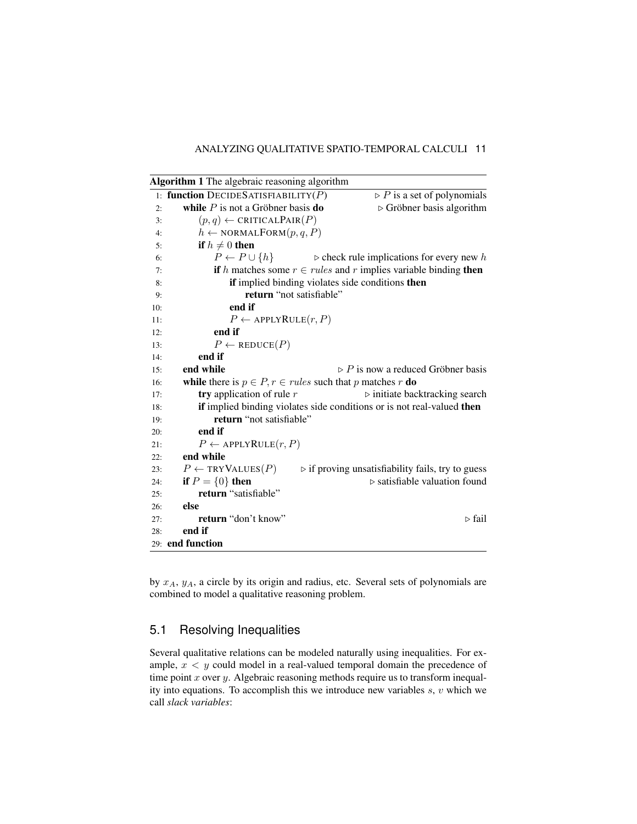|     | Algorithm 1 The algebraic reasoning algorithm                            |                                                                     |  |  |  |  |
|-----|--------------------------------------------------------------------------|---------------------------------------------------------------------|--|--|--|--|
|     | 1: function DECIDES ATISFIABILITY(P)                                     | $\triangleright$ P is a set of polynomials                          |  |  |  |  |
| 2:  | while $P$ is not a Gröbner basis do                                      | $\triangleright$ Gröbner basis algorithm                            |  |  |  |  |
| 3:  | $(p,q) \leftarrow$ CRITICALPAIR $(P)$                                    |                                                                     |  |  |  |  |
| 4:  | $h \leftarrow \text{NORMALFORM}(p, q, P)$                                |                                                                     |  |  |  |  |
| 5:  | if $h \neq 0$ then                                                       |                                                                     |  |  |  |  |
| 6:  | $P \leftarrow P \cup \{h\}$                                              | $\triangleright$ check rule implications for every new h            |  |  |  |  |
| 7:  |                                                                          | if h matches some $r \in rules$ and r implies variable binding then |  |  |  |  |
| 8:  |                                                                          | if implied binding violates side conditions then                    |  |  |  |  |
| 9:  | return "not satisfiable"                                                 |                                                                     |  |  |  |  |
| 10: | end if                                                                   |                                                                     |  |  |  |  |
| 11: | $P \leftarrow$ APPLYRULE $(r, P)$                                        |                                                                     |  |  |  |  |
| 12: | end if                                                                   |                                                                     |  |  |  |  |
| 13: | $P \leftarrow \text{REDuce}(P)$                                          |                                                                     |  |  |  |  |
| 14: | end if                                                                   |                                                                     |  |  |  |  |
| 15: | end while                                                                | $\triangleright$ P is now a reduced Gröbner basis                   |  |  |  |  |
| 16: | while there is $p \in P$ , $r \in rules$ such that p matches r <b>do</b> |                                                                     |  |  |  |  |
| 17: | try application of rule $r$                                              | $\triangleright$ initiate backtracking search                       |  |  |  |  |
| 18: | if implied binding violates side conditions or is not real-valued then   |                                                                     |  |  |  |  |
| 19: | return "not satisfiable"                                                 |                                                                     |  |  |  |  |
| 20: | end if                                                                   |                                                                     |  |  |  |  |
| 21: | $P \leftarrow$ APPLY RULE $(r, P)$                                       |                                                                     |  |  |  |  |
| 22: | end while                                                                |                                                                     |  |  |  |  |
| 23: | $P \leftarrow \text{TRYValues}(P)$                                       | $\triangleright$ if proving unsatisfiability fails, try to guess    |  |  |  |  |
| 24: | if $P = \{0\}$ then                                                      | $\triangleright$ satisfiable valuation found                        |  |  |  |  |
| 25: | return "satisfiable"                                                     |                                                                     |  |  |  |  |
| 26: | else                                                                     |                                                                     |  |  |  |  |
| 27: | return "don't know"                                                      | $\triangleright$ fail                                               |  |  |  |  |
| 28: | end if                                                                   |                                                                     |  |  |  |  |
|     | 29: end function                                                         |                                                                     |  |  |  |  |

by  $x_A$ ,  $y_A$ , a circle by its origin and radius, etc. Several sets of polynomials are combined to model a qualitative reasoning problem.

# 5.1 Resolving Inequalities

Several qualitative relations can be modeled naturally using inequalities. For example,  $x < y$  could model in a real-valued temporal domain the precedence of time point  $x$  over  $y$ . Algebraic reasoning methods require us to transform inequality into equations. To accomplish this we introduce new variables  $s, v$  which we call *slack variables*: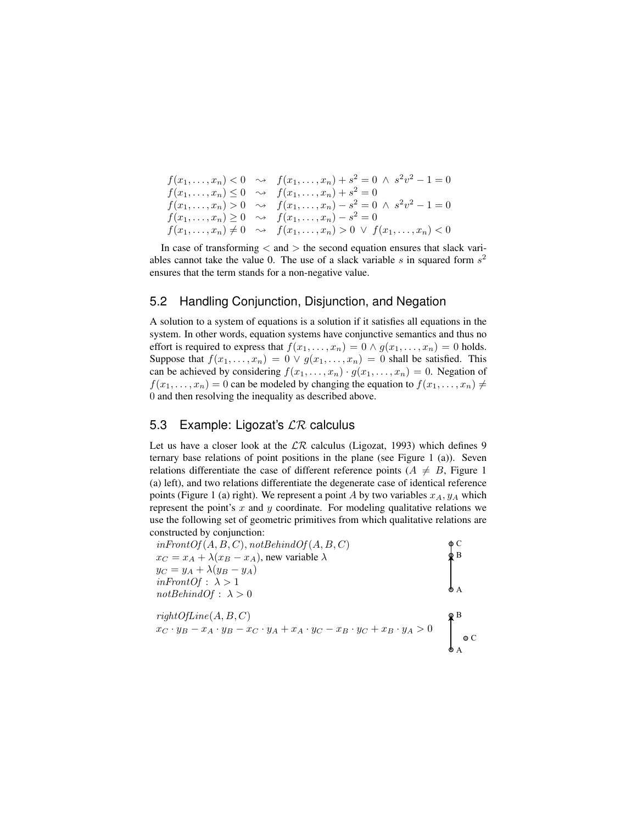```
f(x_1, \ldots, x_n) < 0 \rightarrow f(x_1, \ldots, x_n) + s^2 = 0 \land s^2v^2 - 1 = 0f(x_1, \ldots, x_n) \leq 0 \quad \leadsto \quad f(x_1, \ldots, x_n) + s^2 = 0f(x_1,...,x_n) > 0 \rightarrow f(x_1,...,x_n) - s^2 = 0 \land s^2v^2 - 1 = 0f(x_1, \ldots, x_n) \geq 0 \implies f(x_1, \ldots, x_n) - s^2 = 0f(x_1, \ldots, x_n) \neq 0 \ \ \leadsto \ \ f(x_1, \ldots, x_n) > 0 \ \lor \ f(x_1, \ldots, x_n) < 0
```
In case of transforming  $<$  and  $>$  the second equation ensures that slack variables cannot take the value 0. The use of a slack variable s in squared form  $s^2$ ensures that the term stands for a non-negative value.

#### 5.2 Handling Conjunction, Disjunction, and Negation

A solution to a system of equations is a solution if it satisfies all equations in the system. In other words, equation systems have conjunctive semantics and thus no effort is required to express that  $f(x_1, \ldots, x_n) = 0 \wedge g(x_1, \ldots, x_n) = 0$  holds. Suppose that  $f(x_1, \ldots, x_n) = 0 \vee g(x_1, \ldots, x_n) = 0$  shall be satisfied. This can be achieved by considering  $f(x_1, \ldots, x_n) \cdot g(x_1, \ldots, x_n) = 0$ . Negation of  $f(x_1, \ldots, x_n) = 0$  can be modeled by changing the equation to  $f(x_1, \ldots, x_n) \neq 0$ 0 and then resolving the inequality as described above.

## 5.3 Example: Ligozat's  $\mathcal{LR}$  calculus

Let us have a closer look at the  $\mathcal{LR}$  calculus (Ligozat, 1993) which defines 9 ternary base relations of point positions in the plane (see Figure 1 (a)). Seven relations differentiate the case of different reference points ( $A \neq B$ , Figure 1 (a) left), and two relations differentiate the degenerate case of identical reference points (Figure 1 (a) right). We represent a point A by two variables  $x_A, y_A$  which represent the point's  $x$  and  $y$  coordinate. For modeling qualitative relations we use the following set of geometric primitives from which qualitative relations are constructed by conjunction:

| $inFrontOf(A, B, C), not BehindOf(A, B, C)$                                                         | ΦС          |
|-----------------------------------------------------------------------------------------------------|-------------|
| $x_C = x_A + \lambda (x_B - x_A)$ , new variable $\lambda$                                          |             |
| $y_C = y_A + \lambda (y_B - y_A)$                                                                   |             |
| $inFrontOf: \lambda > 1$                                                                            |             |
| $not \text{BehindOf}: \lambda > 0$                                                                  |             |
| rightOfLine(A, B, C)                                                                                |             |
| $x_C \cdot y_B - x_A \cdot y_B - x_C \cdot y_A + x_A \cdot y_C - x_B \cdot y_C + x_B \cdot y_A > 0$ | $\bullet$ C |
|                                                                                                     |             |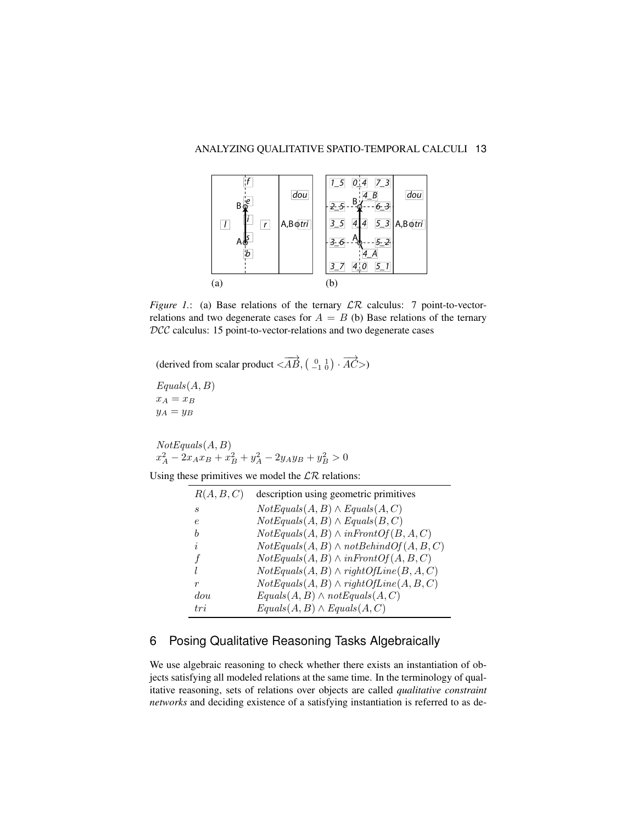

*Figure 1.*: (a) Base relations of the ternary  $LR$  calculus: 7 point-to-vectorrelations and two degenerate cases for  $A = B$  (b) Base relations of the ternary DCC calculus: 15 point-to-vector-relations and two degenerate cases

(derived from scalar product  $\langle \overrightarrow{AB}, \begin{pmatrix} 0 & 1 \\ -1 & 0 \end{pmatrix} \cdot \overrightarrow{AC} \rangle$ )

 $Equals(A, B)$  $x_A = x_B$  $y_A = y_B$ 

 $NotEquals(A, B)$  $x_A^2 - 2x_Ax_B + x_B^2 + y_A^2 - 2y_Ay_B + y_B^2 > 0$ 

Using these primitives we model the  $\mathcal{LR}$  relations:

| R(A, B, C) | description using geometric primitives        |
|------------|-----------------------------------------------|
| S          | $Notequals(A, B) \wedge Equals(A, C)$         |
| e          | $Notequals(A, B) \wedge Equals(B, C)$         |
| h          | $NotEquals(A, B) \wedge inFrontOf(B, A, C)$   |
| $\dot{i}$  | $NotEquals(A, B) \wedge notBehindOf(A, B, C)$ |
| f          | $NotEquals(A, B) \wedge inFrontOf(A, B, C)$   |
| l          | $NotEquals(A, B) \wedge rightOfLine(B, A, C)$ |
| r          | $NotEquals(A, B) \wedge rightOfLine(A, B, C)$ |
| dou        | $Equals(A, B) \wedge notEquals(A, C)$         |
| tri        | $Equals(A, B) \wedge Equals(A, C)$            |
|            |                                               |

# 6 Posing Qualitative Reasoning Tasks Algebraically

We use algebraic reasoning to check whether there exists an instantiation of objects satisfying all modeled relations at the same time. In the terminology of qualitative reasoning, sets of relations over objects are called *qualitative constraint networks* and deciding existence of a satisfying instantiation is referred to as de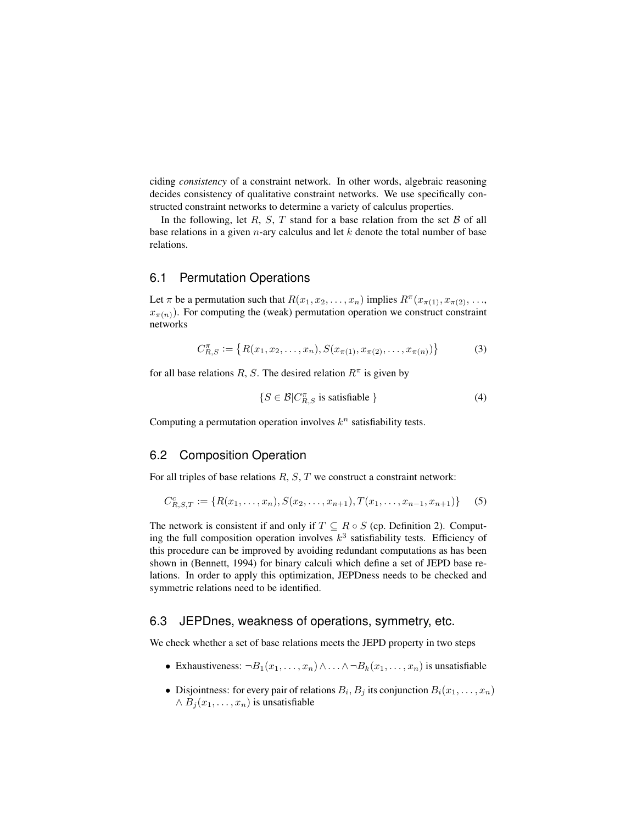ciding *consistency* of a constraint network. In other words, algebraic reasoning decides consistency of qualitative constraint networks. We use specifically constructed constraint networks to determine a variety of calculus properties.

In the following, let R, S, T stand for a base relation from the set  $\beta$  of all base relations in a given  $n$ -ary calculus and let  $k$  denote the total number of base relations.

#### 6.1 Permutation Operations

Let  $\pi$  be a permutation such that  $R(x_1, x_2, \ldots, x_n)$  implies  $R^{\pi}(x_{\pi(1)}, x_{\pi(2)}, \ldots, x_n)$  $x_{\pi(n)}$ ). For computing the (weak) permutation operation we construct constraint networks

$$
C_{R,S}^{\pi} := \{ R(x_1, x_2, \dots, x_n), S(x_{\pi(1)}, x_{\pi(2)}, \dots, x_{\pi(n)}) \}
$$
(3)

for all base relations R, S. The desired relation  $R^{\pi}$  is given by

$$
\{S \in \mathcal{B} | C_{R,S}^{\pi} \text{ is satisfiable }\} \tag{4}
$$

Computing a permutation operation involves  $k^n$  satisfiability tests.

## 6.2 Composition Operation

For all triples of base relations  $R, S, T$  we construct a constraint network:

$$
C_{R,S,T}^c := \{ R(x_1, \ldots, x_n), S(x_2, \ldots, x_{n+1}), T(x_1, \ldots, x_{n-1}, x_{n+1}) \}
$$
 (5)

The network is consistent if and only if  $T \subseteq R \circ S$  (cp. Definition 2). Computing the full composition operation involves  $k^3$  satisfiability tests. Efficiency of this procedure can be improved by avoiding redundant computations as has been shown in (Bennett, 1994) for binary calculi which define a set of JEPD base relations. In order to apply this optimization, JEPDness needs to be checked and symmetric relations need to be identified.

## 6.3 JEPDnes, weakness of operations, symmetry, etc.

We check whether a set of base relations meets the JEPD property in two steps

- Exhaustiveness:  $\neg B_1(x_1, \ldots, x_n) \wedge \ldots \wedge \neg B_k(x_1, \ldots, x_n)$  is unsatisfiable
- Disjointness: for every pair of relations  $B_i, B_j$  its conjunction  $B_i(x_1, \ldots, x_n)$  $\wedge B_i(x_1,\ldots,x_n)$  is unsatisfiable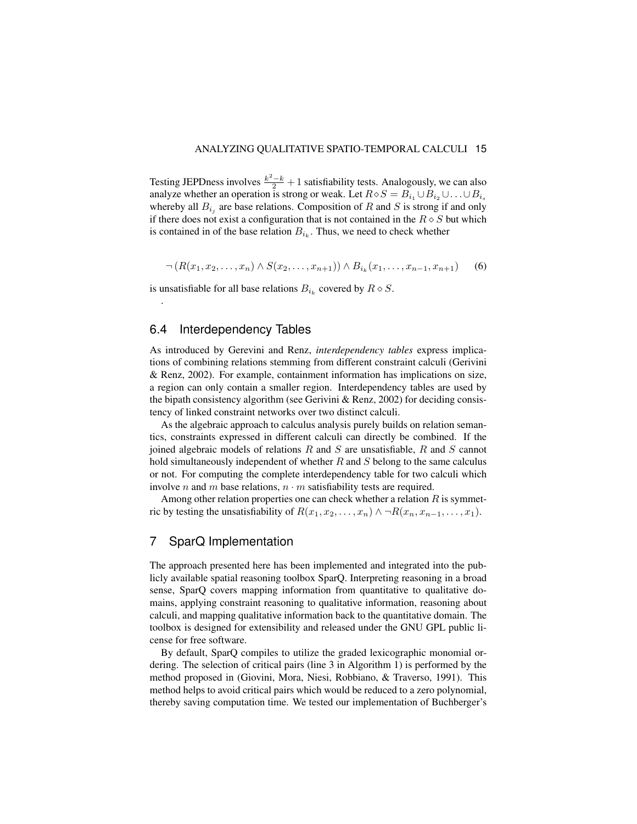Testing JEPDness involves  $\frac{k^2-k}{2}+1$  satisfiability tests. Analogously, we can also analyze whether an operation is strong or weak. Let  $R \diamond S = B_{i_1} \cup B_{i_2} \cup \ldots \cup B_{i_s}$ whereby all  $B_{i_j}$  are base relations. Composition of R and S is strong if and only if there does not exist a configuration that is not contained in the  $R \diamond S$  but which is contained in of the base relation  $B_{i_k}$ . Thus, we need to check whether

$$
\neg (R(x_1, x_2, \dots, x_n) \land S(x_2, \dots, x_{n+1})) \land B_{i_k}(x_1, \dots, x_{n-1}, x_{n+1}) \qquad (6)
$$

is unsatisfiable for all base relations  $B_{i_k}$  covered by  $R \diamond S$ .

## 6.4 Interdependency Tables

.

As introduced by Gerevini and Renz, *interdependency tables* express implications of combining relations stemming from different constraint calculi (Gerivini & Renz, 2002). For example, containment information has implications on size, a region can only contain a smaller region. Interdependency tables are used by the bipath consistency algorithm (see Gerivini & Renz, 2002) for deciding consistency of linked constraint networks over two distinct calculi.

As the algebraic approach to calculus analysis purely builds on relation semantics, constraints expressed in different calculi can directly be combined. If the joined algebraic models of relations  $R$  and  $S$  are unsatisfiable,  $R$  and  $S$  cannot hold simultaneously independent of whether  $R$  and  $S$  belong to the same calculus or not. For computing the complete interdependency table for two calculi which involve *n* and *m* base relations,  $n \cdot m$  satisfiability tests are required.

Among other relation properties one can check whether a relation  $R$  is symmetric by testing the unsatisfiability of  $R(x_1, x_2, \ldots, x_n) \wedge \neg R(x_n, x_{n-1}, \ldots, x_1)$ .

## 7 SparQ Implementation

The approach presented here has been implemented and integrated into the publicly available spatial reasoning toolbox SparQ. Interpreting reasoning in a broad sense, SparQ covers mapping information from quantitative to qualitative domains, applying constraint reasoning to qualitative information, reasoning about calculi, and mapping qualitative information back to the quantitative domain. The toolbox is designed for extensibility and released under the GNU GPL public license for free software.

By default, SparQ compiles to utilize the graded lexicographic monomial ordering. The selection of critical pairs (line 3 in Algorithm 1) is performed by the method proposed in (Giovini, Mora, Niesi, Robbiano, & Traverso, 1991). This method helps to avoid critical pairs which would be reduced to a zero polynomial, thereby saving computation time. We tested our implementation of Buchberger's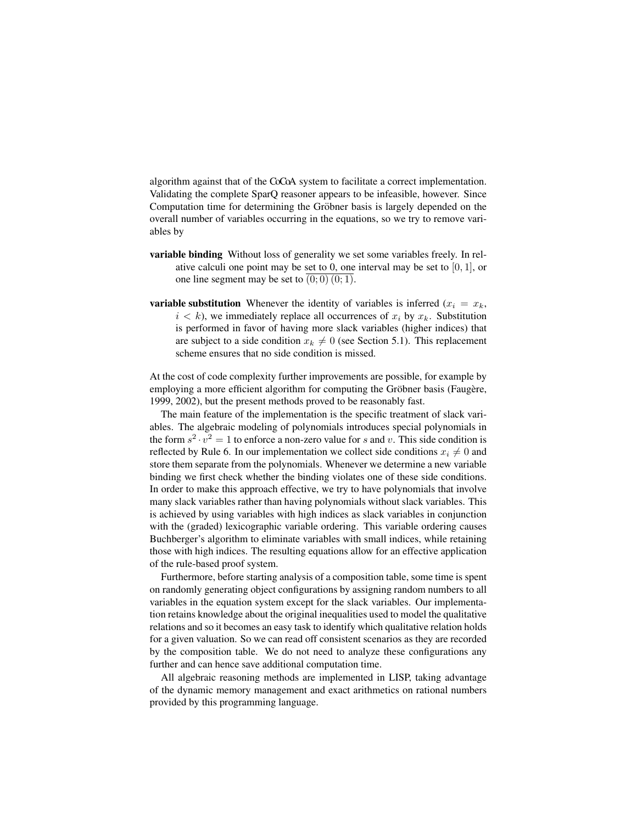algorithm against that of the CoCoA system to facilitate a correct implementation. Validating the complete SparQ reasoner appears to be infeasible, however. Since Computation time for determining the Gröbner basis is largely depended on the overall number of variables occurring in the equations, so we try to remove variables by

- variable binding Without loss of generality we set some variables freely. In relative calculi one point may be set to 0, one interval may be set to  $[0, 1]$ , or one line segment may be set to  $(0, 0)$   $(0, 1)$ .
- **variable substitution** Whenever the identity of variables is inferred  $(x_i = x_k)$ ,  $i < k$ ), we immediately replace all occurrences of  $x_i$  by  $x_k$ . Substitution is performed in favor of having more slack variables (higher indices) that are subject to a side condition  $x_k \neq 0$  (see Section 5.1). This replacement scheme ensures that no side condition is missed.

At the cost of code complexity further improvements are possible, for example by employing a more efficient algorithm for computing the Gröbner basis (Faugère, 1999, 2002), but the present methods proved to be reasonably fast.

The main feature of the implementation is the specific treatment of slack variables. The algebraic modeling of polynomials introduces special polynomials in the form  $s^2 \cdot v^2 = 1$  to enforce a non-zero value for s and v. This side condition is reflected by Rule 6. In our implementation we collect side conditions  $x_i \neq 0$  and store them separate from the polynomials. Whenever we determine a new variable binding we first check whether the binding violates one of these side conditions. In order to make this approach effective, we try to have polynomials that involve many slack variables rather than having polynomials without slack variables. This is achieved by using variables with high indices as slack variables in conjunction with the (graded) lexicographic variable ordering. This variable ordering causes Buchberger's algorithm to eliminate variables with small indices, while retaining those with high indices. The resulting equations allow for an effective application of the rule-based proof system.

Furthermore, before starting analysis of a composition table, some time is spent on randomly generating object configurations by assigning random numbers to all variables in the equation system except for the slack variables. Our implementation retains knowledge about the original inequalities used to model the qualitative relations and so it becomes an easy task to identify which qualitative relation holds for a given valuation. So we can read off consistent scenarios as they are recorded by the composition table. We do not need to analyze these configurations any further and can hence save additional computation time.

All algebraic reasoning methods are implemented in LISP, taking advantage of the dynamic memory management and exact arithmetics on rational numbers provided by this programming language.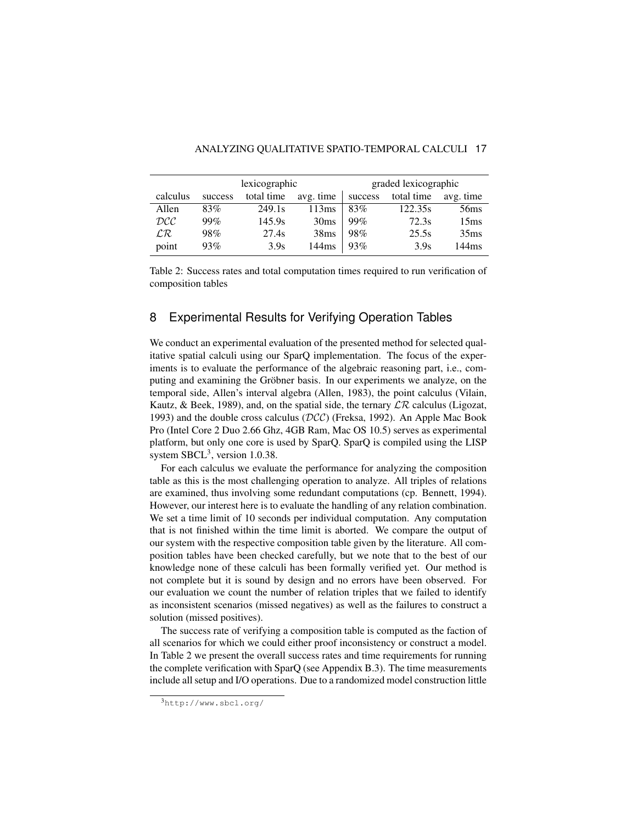|                                     | lexicographic |            |                  |         | graded lexicographic |                  |  |
|-------------------------------------|---------------|------------|------------------|---------|----------------------|------------------|--|
| calculus                            | success       | total time | avg. time        | success | total time           | avg. time        |  |
| Allen                               | 83%           | 249.1s     | 113ms            | 83%     | 122.35s              | 56 <sub>ms</sub> |  |
| $\mathcal{D}\mathcal{C}\mathcal{C}$ | 99%           | 145.9s     | 30 <sub>ms</sub> | 99%     | 72.3s                | 15 <sub>ms</sub> |  |
| $\mathcal{LR}$                      | 98%           | 27.4s      | 38ms             | 98%     | 25.5s                | 35 <sub>ms</sub> |  |
| point                               | 93%           | 3.9s       | 144ms            | 93%     | 3.9s                 | 144ms            |  |

Table 2: Success rates and total computation times required to run verification of composition tables

# 8 Experimental Results for Verifying Operation Tables

We conduct an experimental evaluation of the presented method for selected qualitative spatial calculi using our SparQ implementation. The focus of the experiments is to evaluate the performance of the algebraic reasoning part, i.e., computing and examining the Gröbner basis. In our experiments we analyze, on the temporal side, Allen's interval algebra (Allen, 1983), the point calculus (Vilain, Kautz, & Beek, 1989), and, on the spatial side, the ternary  $\mathcal{LR}$  calculus (Ligozat, 1993) and the double cross calculus ( $DCC$ ) (Freksa, 1992). An Apple Mac Book Pro (Intel Core 2 Duo 2.66 Ghz, 4GB Ram, Mac OS 10.5) serves as experimental platform, but only one core is used by SparQ. SparQ is compiled using the LISP system  $SBCL^3$ , version 1.0.38.

For each calculus we evaluate the performance for analyzing the composition table as this is the most challenging operation to analyze. All triples of relations are examined, thus involving some redundant computations (cp. Bennett, 1994). However, our interest here is to evaluate the handling of any relation combination. We set a time limit of 10 seconds per individual computation. Any computation that is not finished within the time limit is aborted. We compare the output of our system with the respective composition table given by the literature. All composition tables have been checked carefully, but we note that to the best of our knowledge none of these calculi has been formally verified yet. Our method is not complete but it is sound by design and no errors have been observed. For our evaluation we count the number of relation triples that we failed to identify as inconsistent scenarios (missed negatives) as well as the failures to construct a solution (missed positives).

The success rate of verifying a composition table is computed as the faction of all scenarios for which we could either proof inconsistency or construct a model. In Table 2 we present the overall success rates and time requirements for running the complete verification with SparQ (see Appendix B.3). The time measurements include all setup and I/O operations. Due to a randomized model construction little

<sup>3</sup>http://www.sbcl.org/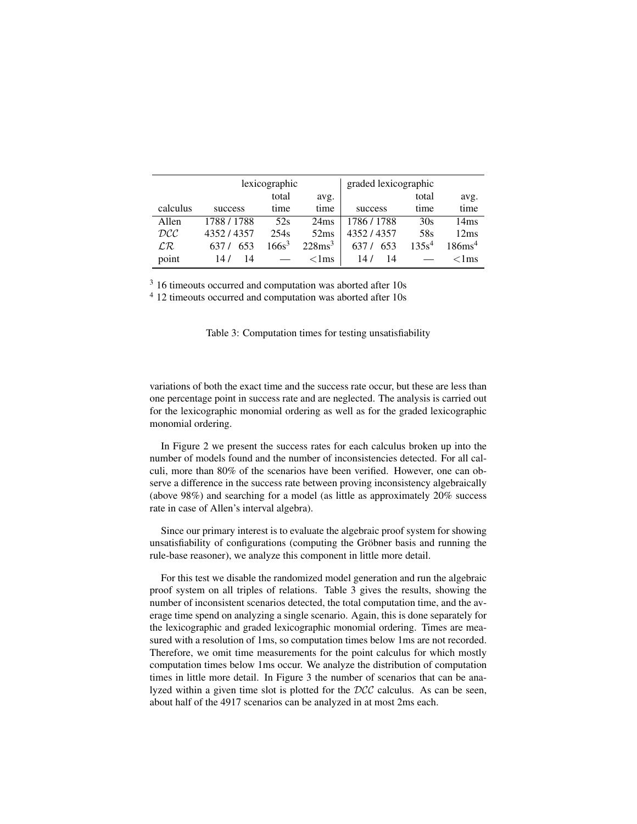|                                     | lexicographic |          |                    | graded lexicographic |                   |                    |
|-------------------------------------|---------------|----------|--------------------|----------------------|-------------------|--------------------|
|                                     |               | total    | avg.               |                      | total             | avg.               |
| calculus                            | success       | time     | time               | success              | time              | time               |
| Allen                               | 1788 / 1788   | 52s      | 24ms               | 1786 / 1788          | 30s               | 14 <sub>ms</sub>   |
| $\mathcal{D}\mathcal{C}\mathcal{C}$ | 4352/4357     | 254s     | 52ms               | 4352/4357            | 58s               | 12ms               |
| $\mathcal{LR}$                      | 653           | $166s^3$ | 228ms <sup>3</sup> | 653                  | 135s <sup>4</sup> | 186ms <sup>4</sup> |
| point                               | 14/<br>14     |          | $\langle$ 1ms      | 14 /<br>14           |                   | $<$ 1 ms           |

<sup>3</sup> 16 timeouts occurred and computation was aborted after 10s

<sup>4</sup> 12 timeouts occurred and computation was aborted after 10s

|  |  |  | Table 3: Computation times for testing unsatisfiability |  |
|--|--|--|---------------------------------------------------------|--|
|  |  |  |                                                         |  |

variations of both the exact time and the success rate occur, but these are less than one percentage point in success rate and are neglected. The analysis is carried out for the lexicographic monomial ordering as well as for the graded lexicographic monomial ordering.

In Figure 2 we present the success rates for each calculus broken up into the number of models found and the number of inconsistencies detected. For all calculi, more than 80% of the scenarios have been verified. However, one can observe a difference in the success rate between proving inconsistency algebraically (above 98%) and searching for a model (as little as approximately 20% success rate in case of Allen's interval algebra).

Since our primary interest is to evaluate the algebraic proof system for showing unsatisfiability of configurations (computing the Gröbner basis and running the rule-base reasoner), we analyze this component in little more detail.

For this test we disable the randomized model generation and run the algebraic proof system on all triples of relations. Table 3 gives the results, showing the number of inconsistent scenarios detected, the total computation time, and the average time spend on analyzing a single scenario. Again, this is done separately for the lexicographic and graded lexicographic monomial ordering. Times are measured with a resolution of 1ms, so computation times below 1ms are not recorded. Therefore, we omit time measurements for the point calculus for which mostly computation times below 1ms occur. We analyze the distribution of computation times in little more detail. In Figure 3 the number of scenarios that can be analyzed within a given time slot is plotted for the DCC calculus. As can be seen, about half of the 4917 scenarios can be analyzed in at most 2ms each.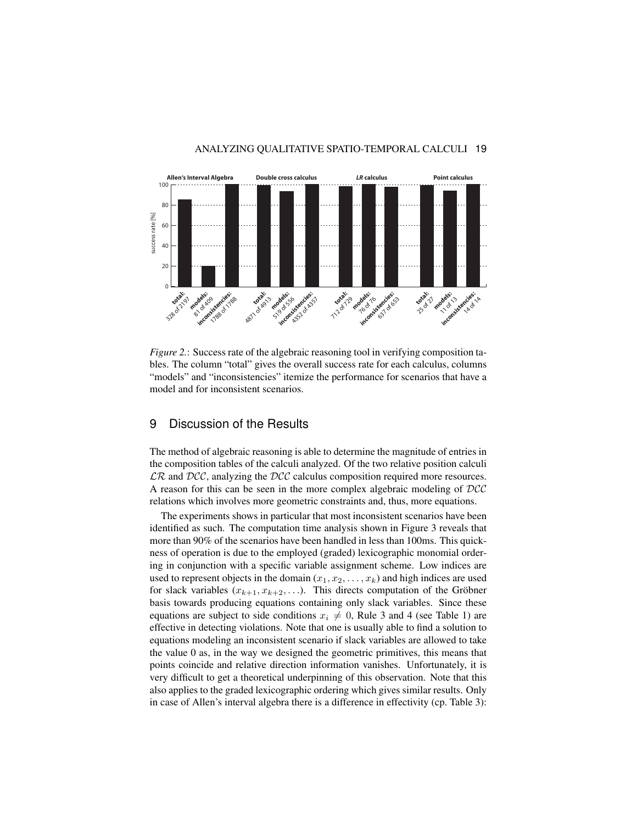

*Figure 2.:* Success rate of the algebraic reasoning tool in verifying composition tables. The column "total" gives the overall success rate for each calculus, columns "models" and "inconsistencies" itemize the performance for scenarios that have a model and for inconsistent scenarios.

## 9 Discussion of the Results

The method of algebraic reasoning is able to determine the magnitude of entries in the composition tables of the calculi analyzed. Of the two relative position calculi  $\mathcal{LR}$  and  $\mathcal{DCC}$ , analyzing the  $\mathcal{DCC}$  calculus composition required more resources. A reason for this can be seen in the more complex algebraic modeling of DCC relations which involves more geometric constraints and, thus, more equations.

The experiments shows in particular that most inconsistent scenarios have been identified as such. The computation time analysis shown in Figure 3 reveals that more than 90% of the scenarios have been handled in less than 100ms. This quickness of operation is due to the employed (graded) lexicographic monomial ordering in conjunction with a specific variable assignment scheme. Low indices are used to represent objects in the domain  $(x_1, x_2, \ldots, x_k)$  and high indices are used for slack variables  $(x_{k+1}, x_{k+2}, \ldots)$ . This directs computation of the Gröbner basis towards producing equations containing only slack variables. Since these equations are subject to side conditions  $x_i \neq 0$ , Rule 3 and 4 (see Table 1) are effective in detecting violations. Note that one is usually able to find a solution to equations modeling an inconsistent scenario if slack variables are allowed to take the value 0 as, in the way we designed the geometric primitives, this means that points coincide and relative direction information vanishes. Unfortunately, it is very difficult to get a theoretical underpinning of this observation. Note that this also applies to the graded lexicographic ordering which gives similar results. Only in case of Allen's interval algebra there is a difference in effectivity (cp. Table 3):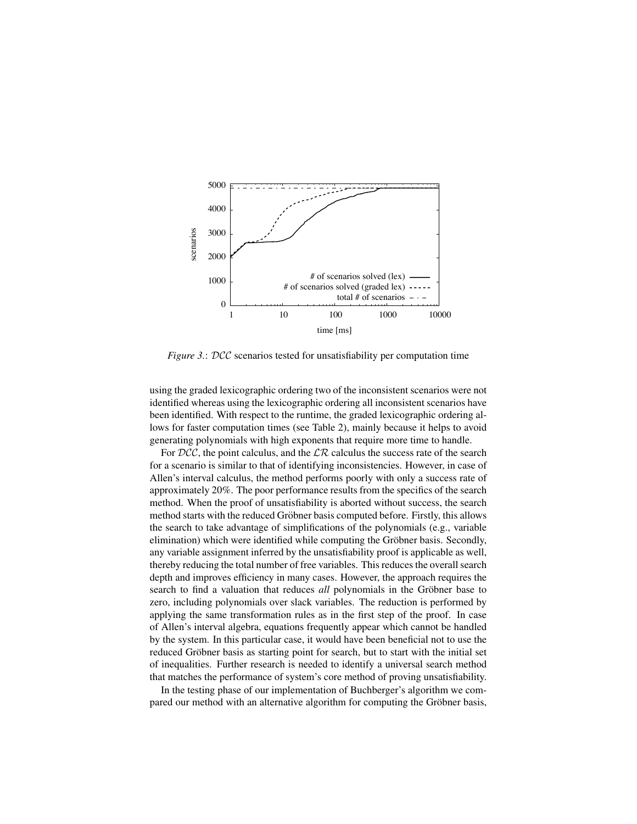

*Figure 3.: DCC* scenarios tested for unsatisfiability per computation time

using the graded lexicographic ordering two of the inconsistent scenarios were not identified whereas using the lexicographic ordering all inconsistent scenarios have been identified. With respect to the runtime, the graded lexicographic ordering allows for faster computation times (see Table 2), mainly because it helps to avoid generating polynomials with high exponents that require more time to handle.

For  $DCC$ , the point calculus, and the  $\mathcal{LR}$  calculus the success rate of the search for a scenario is similar to that of identifying inconsistencies. However, in case of Allen's interval calculus, the method performs poorly with only a success rate of approximately 20%. The poor performance results from the specifics of the search method. When the proof of unsatisfiability is aborted without success, the search method starts with the reduced Gröbner basis computed before. Firstly, this allows the search to take advantage of simplifications of the polynomials (e.g., variable elimination) which were identified while computing the Gröbner basis. Secondly, any variable assignment inferred by the unsatisfiability proof is applicable as well, thereby reducing the total number of free variables. This reduces the overall search depth and improves efficiency in many cases. However, the approach requires the search to find a valuation that reduces *all* polynomials in the Gröbner base to zero, including polynomials over slack variables. The reduction is performed by applying the same transformation rules as in the first step of the proof. In case of Allen's interval algebra, equations frequently appear which cannot be handled by the system. In this particular case, it would have been beneficial not to use the reduced Gröbner basis as starting point for search, but to start with the initial set of inequalities. Further research is needed to identify a universal search method that matches the performance of system's core method of proving unsatisfiability.

In the testing phase of our implementation of Buchberger's algorithm we compared our method with an alternative algorithm for computing the Gröbner basis,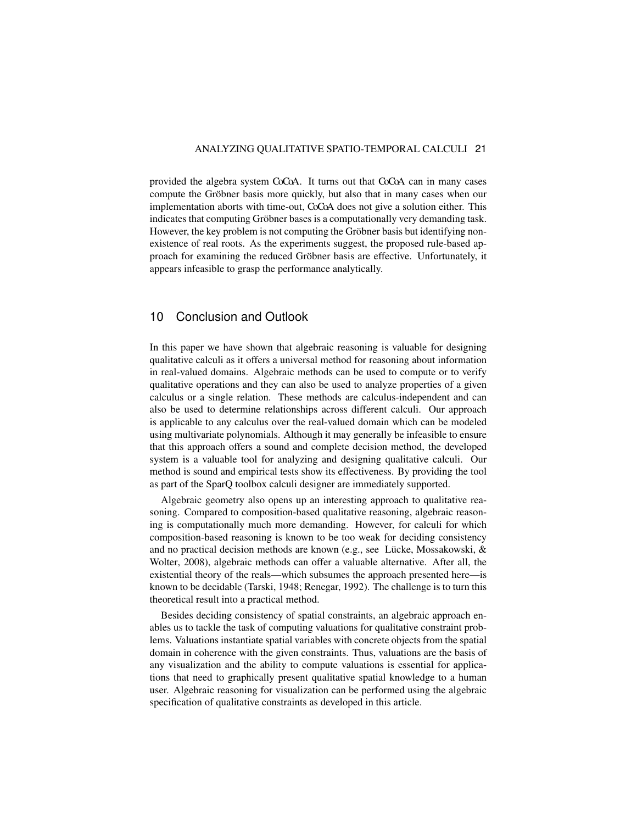provided the algebra system CoCoA. It turns out that CoCoA can in many cases compute the Gröbner basis more quickly, but also that in many cases when our implementation aborts with time-out, CoCoA does not give a solution either. This indicates that computing Gröbner bases is a computationally very demanding task. However, the key problem is not computing the Gröbner basis but identifying nonexistence of real roots. As the experiments suggest, the proposed rule-based approach for examining the reduced Gröbner basis are effective. Unfortunately, it appears infeasible to grasp the performance analytically.

# 10 Conclusion and Outlook

In this paper we have shown that algebraic reasoning is valuable for designing qualitative calculi as it offers a universal method for reasoning about information in real-valued domains. Algebraic methods can be used to compute or to verify qualitative operations and they can also be used to analyze properties of a given calculus or a single relation. These methods are calculus-independent and can also be used to determine relationships across different calculi. Our approach is applicable to any calculus over the real-valued domain which can be modeled using multivariate polynomials. Although it may generally be infeasible to ensure that this approach offers a sound and complete decision method, the developed system is a valuable tool for analyzing and designing qualitative calculi. Our method is sound and empirical tests show its effectiveness. By providing the tool as part of the SparQ toolbox calculi designer are immediately supported.

Algebraic geometry also opens up an interesting approach to qualitative reasoning. Compared to composition-based qualitative reasoning, algebraic reasoning is computationally much more demanding. However, for calculi for which composition-based reasoning is known to be too weak for deciding consistency and no practical decision methods are known (e.g., see Lücke, Mossakowski,  $\&$ Wolter, 2008), algebraic methods can offer a valuable alternative. After all, the existential theory of the reals—which subsumes the approach presented here—is known to be decidable (Tarski, 1948; Renegar, 1992). The challenge is to turn this theoretical result into a practical method.

Besides deciding consistency of spatial constraints, an algebraic approach enables us to tackle the task of computing valuations for qualitative constraint problems. Valuations instantiate spatial variables with concrete objects from the spatial domain in coherence with the given constraints. Thus, valuations are the basis of any visualization and the ability to compute valuations is essential for applications that need to graphically present qualitative spatial knowledge to a human user. Algebraic reasoning for visualization can be performed using the algebraic specification of qualitative constraints as developed in this article.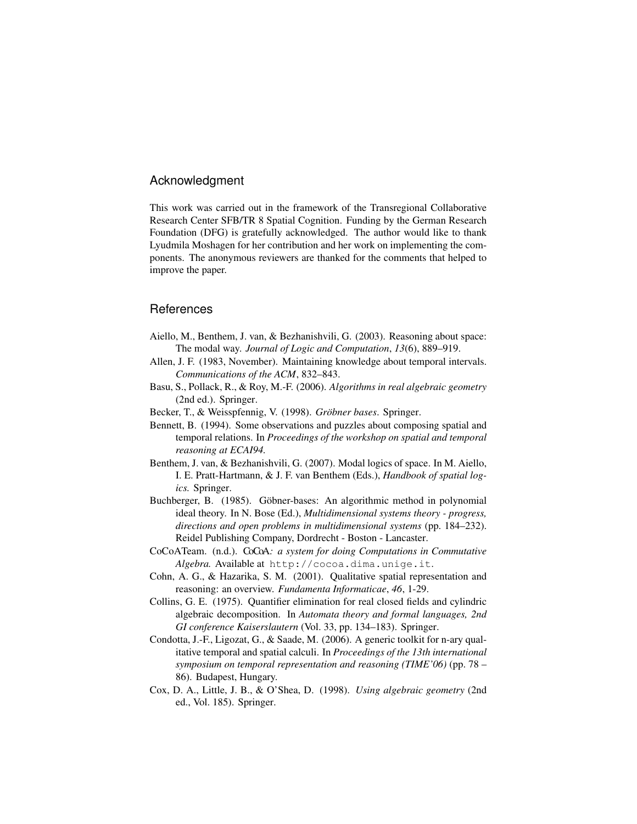#### Acknowledgment

This work was carried out in the framework of the Transregional Collaborative Research Center SFB/TR 8 Spatial Cognition. Funding by the German Research Foundation (DFG) is gratefully acknowledged. The author would like to thank Lyudmila Moshagen for her contribution and her work on implementing the components. The anonymous reviewers are thanked for the comments that helped to improve the paper.

## **References**

- Aiello, M., Benthem, J. van, & Bezhanishvili, G. (2003). Reasoning about space: The modal way. *Journal of Logic and Computation*, *13*(6), 889–919.
- Allen, J. F. (1983, November). Maintaining knowledge about temporal intervals. *Communications of the ACM*, 832–843.
- Basu, S., Pollack, R., & Roy, M.-F. (2006). *Algorithms in real algebraic geometry* (2nd ed.). Springer.
- Becker, T., & Weisspfennig, V. (1998). *Gröbner bases*. Springer.
- Bennett, B. (1994). Some observations and puzzles about composing spatial and temporal relations. In *Proceedings of the workshop on spatial and temporal reasoning at ECAI94.*
- Benthem, J. van, & Bezhanishvili, G. (2007). Modal logics of space. In M. Aiello, I. E. Pratt-Hartmann, & J. F. van Benthem (Eds.), *Handbook of spatial logics.* Springer.
- Buchberger, B. (1985). Göbner-bases: An algorithmic method in polynomial ideal theory. In N. Bose (Ed.), *Multidimensional systems theory - progress, directions and open problems in multidimensional systems* (pp. 184–232). Reidel Publishing Company, Dordrecht - Boston - Lancaster.
- CoCoATeam. (n.d.). CoCoA*: a system for doing Computations in Commutative Algebra.* Available at http://cocoa.dima.unige.it.
- Cohn, A. G., & Hazarika, S. M. (2001). Qualitative spatial representation and reasoning: an overview. *Fundamenta Informaticae*, *46*, 1-29.
- Collins, G. E. (1975). Quantifier elimination for real closed fields and cylindric algebraic decomposition. In *Automata theory and formal languages, 2nd GI conference Kaiserslautern* (Vol. 33, pp. 134–183). Springer.
- Condotta, J.-F., Ligozat, G., & Saade, M. (2006). A generic toolkit for n-ary qualitative temporal and spatial calculi. In *Proceedings of the 13th international symposium on temporal representation and reasoning (TIME'06)* (pp. 78 – 86). Budapest, Hungary.
- Cox, D. A., Little, J. B., & O'Shea, D. (1998). *Using algebraic geometry* (2nd ed., Vol. 185). Springer.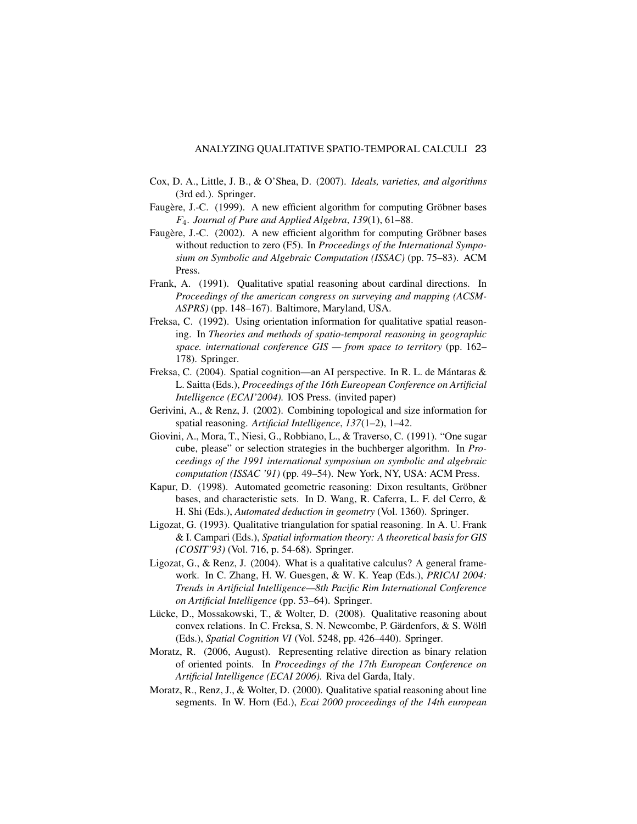- Cox, D. A., Little, J. B., & O'Shea, D. (2007). *Ideals, varieties, and algorithms* (3rd ed.). Springer.
- Faugère, J.-C. (1999). A new efficient algorithm for computing Gröbner bases F4. *Journal of Pure and Applied Algebra*, *139*(1), 61–88.
- Faugère, J.-C. (2002). A new efficient algorithm for computing Gröbner bases without reduction to zero (F5). In *Proceedings of the International Symposium on Symbolic and Algebraic Computation (ISSAC)* (pp. 75–83). ACM Press.
- Frank, A. (1991). Qualitative spatial reasoning about cardinal directions. In *Proceedings of the american congress on surveying and mapping (ACSM-ASPRS)* (pp. 148–167). Baltimore, Maryland, USA.
- Freksa, C. (1992). Using orientation information for qualitative spatial reasoning. In *Theories and methods of spatio-temporal reasoning in geographic space. international conference GIS — from space to territory* (pp. 162– 178). Springer.
- Freksa, C. (2004). Spatial cognition—an AI perspective. In R. L. de Mántaras & L. Saitta (Eds.), *Proceedings of the 16th Eureopean Conference on Artificial Intelligence (ECAI'2004).* IOS Press. (invited paper)
- Gerivini, A., & Renz, J. (2002). Combining topological and size information for spatial reasoning. *Artificial Intelligence*, *137*(1–2), 1–42.
- Giovini, A., Mora, T., Niesi, G., Robbiano, L., & Traverso, C. (1991). "One sugar cube, please" or selection strategies in the buchberger algorithm. In *Proceedings of the 1991 international symposium on symbolic and algebraic computation (ISSAC '91)* (pp. 49–54). New York, NY, USA: ACM Press.
- Kapur, D. (1998). Automated geometric reasoning: Dixon resultants, Gröbner bases, and characteristic sets. In D. Wang, R. Caferra, L. F. del Cerro, & H. Shi (Eds.), *Automated deduction in geometry* (Vol. 1360). Springer.
- Ligozat, G. (1993). Qualitative triangulation for spatial reasoning. In A. U. Frank & I. Campari (Eds.), *Spatial information theory: A theoretical basis for GIS (COSIT'93)* (Vol. 716, p. 54-68). Springer.
- Ligozat, G., & Renz, J. (2004). What is a qualitative calculus? A general framework. In C. Zhang, H. W. Guesgen, & W. K. Yeap (Eds.), *PRICAI 2004: Trends in Artificial Intelligence—8th Pacific Rim International Conference on Artificial Intelligence* (pp. 53–64). Springer.
- Lücke, D., Mossakowski, T., & Wolter, D. (2008). Qualitative reasoning about convex relations. In C. Freksa, S. N. Newcombe, P. Gärdenfors, & S. Wölfl (Eds.), *Spatial Cognition VI* (Vol. 5248, pp. 426–440). Springer.
- Moratz, R. (2006, August). Representing relative direction as binary relation of oriented points. In *Proceedings of the 17th European Conference on Artificial Intelligence (ECAI 2006).* Riva del Garda, Italy.
- Moratz, R., Renz, J., & Wolter, D. (2000). Qualitative spatial reasoning about line segments. In W. Horn (Ed.), *Ecai 2000 proceedings of the 14th european*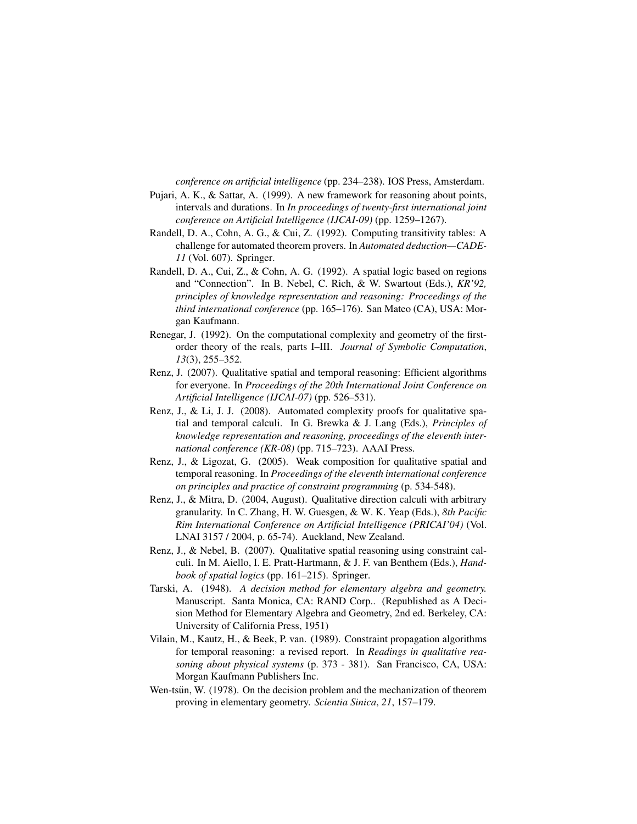*conference on artificial intelligence* (pp. 234–238). IOS Press, Amsterdam.

- Pujari, A. K., & Sattar, A. (1999). A new framework for reasoning about points, intervals and durations. In *In proceedings of twenty-first international joint conference on Artificial Intelligence (IJCAI-09)* (pp. 1259–1267).
- Randell, D. A., Cohn, A. G., & Cui, Z. (1992). Computing transitivity tables: A challenge for automated theorem provers. In *Automated deduction—CADE-11* (Vol. 607). Springer.
- Randell, D. A., Cui, Z., & Cohn, A. G. (1992). A spatial logic based on regions and "Connection". In B. Nebel, C. Rich, & W. Swartout (Eds.), *KR'92, principles of knowledge representation and reasoning: Proceedings of the third international conference* (pp. 165–176). San Mateo (CA), USA: Morgan Kaufmann.
- Renegar, J. (1992). On the computational complexity and geometry of the firstorder theory of the reals, parts I–III. *Journal of Symbolic Computation*, *13*(3), 255–352.
- Renz, J. (2007). Qualitative spatial and temporal reasoning: Efficient algorithms for everyone. In *Proceedings of the 20th International Joint Conference on Artificial Intelligence (IJCAI-07)* (pp. 526–531).
- Renz, J., & Li, J. J. (2008). Automated complexity proofs for qualitative spatial and temporal calculi. In G. Brewka & J. Lang (Eds.), *Principles of knowledge representation and reasoning, proceedings of the eleventh international conference (KR-08)* (pp. 715–723). AAAI Press.
- Renz, J., & Ligozat, G. (2005). Weak composition for qualitative spatial and temporal reasoning. In *Proceedings of the eleventh international conference on principles and practice of constraint programming* (p. 534-548).
- Renz, J., & Mitra, D. (2004, August). Qualitative direction calculi with arbitrary granularity. In C. Zhang, H. W. Guesgen, & W. K. Yeap (Eds.), *8th Pacific Rim International Conference on Artificial Intelligence (PRICAI'04)* (Vol. LNAI 3157 / 2004, p. 65-74). Auckland, New Zealand.
- Renz, J., & Nebel, B. (2007). Qualitative spatial reasoning using constraint calculi. In M. Aiello, I. E. Pratt-Hartmann, & J. F. van Benthem (Eds.), *Handbook of spatial logics* (pp. 161–215). Springer.
- Tarski, A. (1948). *A decision method for elementary algebra and geometry.* Manuscript. Santa Monica, CA: RAND Corp.. (Republished as A Decision Method for Elementary Algebra and Geometry, 2nd ed. Berkeley, CA: University of California Press, 1951)
- Vilain, M., Kautz, H., & Beek, P. van. (1989). Constraint propagation algorithms for temporal reasoning: a revised report. In *Readings in qualitative reasoning about physical systems* (p. 373 - 381). San Francisco, CA, USA: Morgan Kaufmann Publishers Inc.
- Wen-tsun, W.  $(1978)$ . On the decision problem and the mechanization of theorem proving in elementary geometry. *Scientia Sinica*, *21*, 157–179.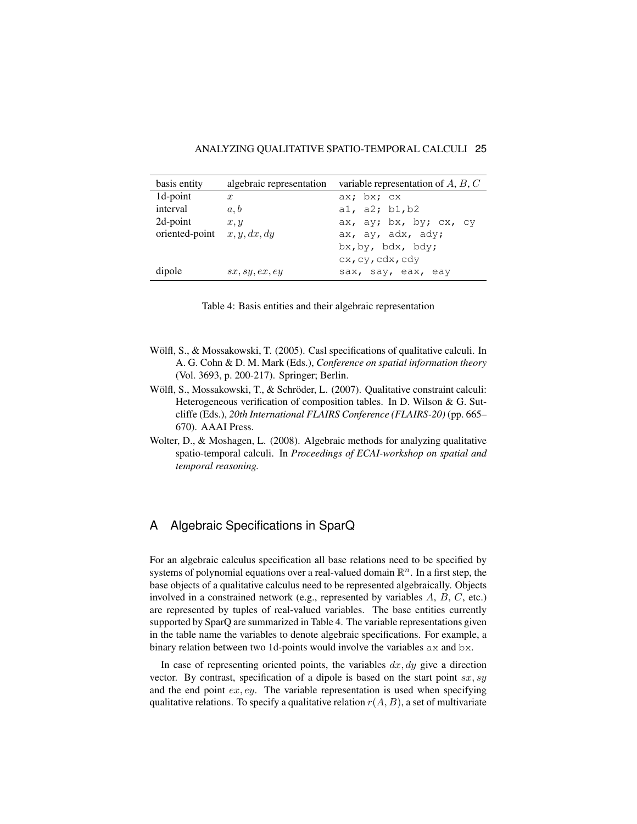| basis entity   | algebraic representation | variable representation of $A, B, C$ |
|----------------|--------------------------|--------------------------------------|
| 1d-point       | $\boldsymbol{x}$         | ax; bx; cx                           |
| interval       | a, b                     | al, a2; $b1, b2$                     |
| 2d-point       | x, y                     | ax, ay; bx, by; cx, cy               |
| oriented-point | x, y, dx, dy             | ax, ay, adx, ady;                    |
|                |                          | bx, by, bdx, bdy;                    |
|                |                          | cx, cy, cdx, cdy                     |
| dipole         | sx, sy, ex, ey           | sax, say, eax, eay                   |

Table 4: Basis entities and their algebraic representation

- Wölfl, S., & Mossakowski, T.  $(2005)$ . Casl specifications of qualitative calculi. In A. G. Cohn & D. M. Mark (Eds.), *Conference on spatial information theory* (Vol. 3693, p. 200-217). Springer; Berlin.
- Wölfl, S., Mossakowski, T., & Schröder, L. (2007). Qualitative constraint calculi: Heterogeneous verification of composition tables. In D. Wilson & G. Sutcliffe (Eds.), *20th International FLAIRS Conference (FLAIRS-20)* (pp. 665– 670). AAAI Press.
- Wolter, D., & Moshagen, L. (2008). Algebraic methods for analyzing qualitative spatio-temporal calculi. In *Proceedings of ECAI-workshop on spatial and temporal reasoning.*

# A Algebraic Specifications in SparQ

For an algebraic calculus specification all base relations need to be specified by systems of polynomial equations over a real-valued domain  $\mathbb{R}^n$ . In a first step, the base objects of a qualitative calculus need to be represented algebraically. Objects involved in a constrained network (e.g., represented by variables A, B, C, etc.) are represented by tuples of real-valued variables. The base entities currently supported by SparQ are summarized in Table 4. The variable representations given in the table name the variables to denote algebraic specifications. For example, a binary relation between two 1d-points would involve the variables ax and bx.

In case of representing oriented points, the variables  $dx, dy$  give a direction vector. By contrast, specification of a dipole is based on the start point  $sx, sy$ and the end point  $ex, ey$ . The variable representation is used when specifying qualitative relations. To specify a qualitative relation  $r(A, B)$ , a set of multivariate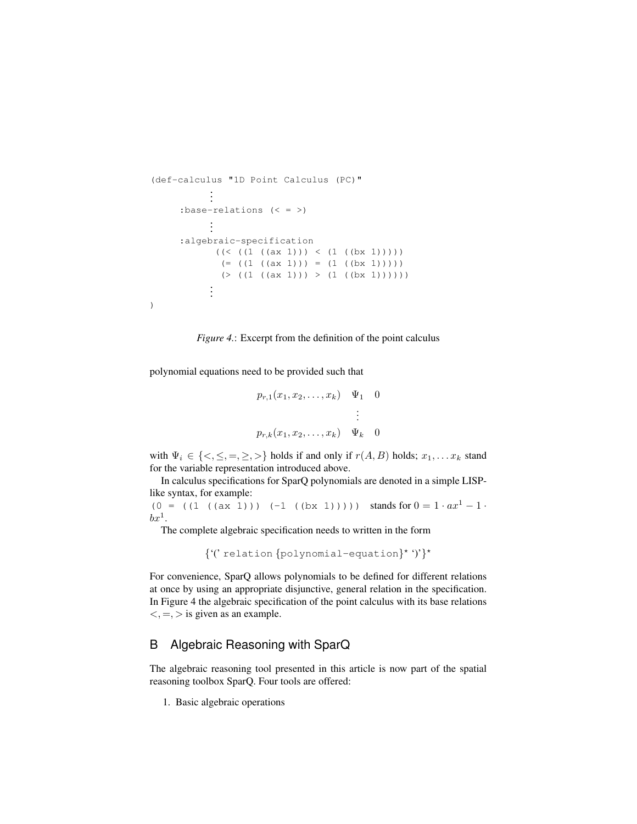```
(def-calculus "1D Point Calculus (PC)"
          ...
     :base-relations (< = >)
          ...
     :algebraic-specification
           ((<(1 ((ax 1)))((1 ((bx 1))))))(=( (1 ((ax 1)))) = (1 ((bx 1))))(>(1 ((ax 1))) > (1 ((bx 1))))))...
)
```


polynomial equations need to be provided such that

$$
p_{r,1}(x_1, x_2, \dots, x_k) \quad \Psi_1 \quad 0
$$
  
 
$$
\vdots
$$
  

$$
p_{r,k}(x_1, x_2, \dots, x_k) \quad \Psi_k \quad 0
$$

with  $\Psi_i \in \{<,\leq,=,\geq,>\}$  holds if and only if  $r(A, B)$  holds;  $x_1, \ldots x_k$  stand for the variable representation introduced above.

In calculus specifications for SparQ polynomials are denoted in a simple LISPlike syntax, for example:

(0 = ((1 ((ax 1))) (-1 ((bx 1))))) stands for  $0 = 1 \cdot ax^{1} - 1$ .  $bx^1$ .

The complete algebraic specification needs to written in the form

{"\telation {polynomial-equation}"")'}

For convenience, SparQ allows polynomials to be defined for different relations at once by using an appropriate disjunctive, general relation in the specification. In Figure 4 the algebraic specification of the point calculus with its base relations  $\langle , = , \rangle$  is given as an example.

# B Algebraic Reasoning with SparQ

The algebraic reasoning tool presented in this article is now part of the spatial reasoning toolbox SparQ. Four tools are offered:

1. Basic algebraic operations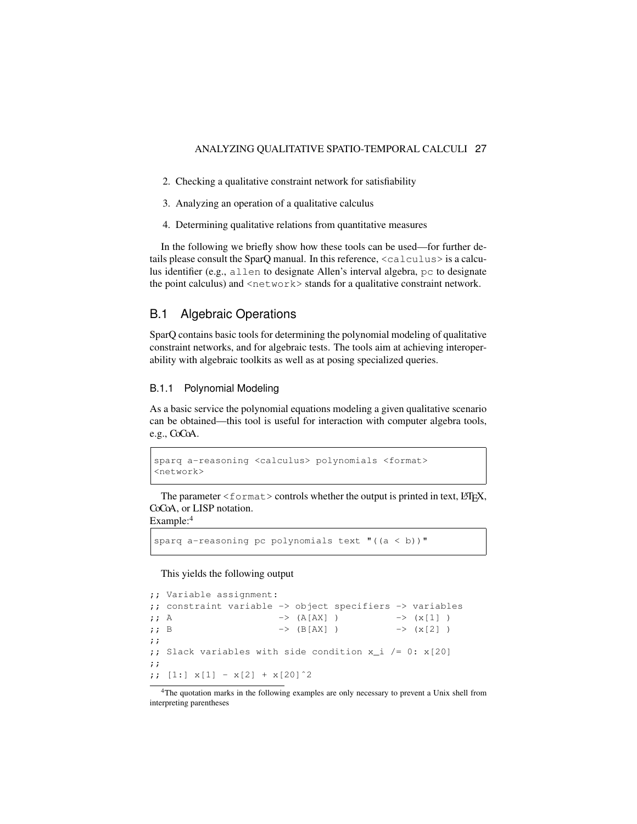- 2. Checking a qualitative constraint network for satisfiability
- 3. Analyzing an operation of a qualitative calculus
- 4. Determining qualitative relations from quantitative measures

In the following we briefly show how these tools can be used—for further details please consult the SparO manual. In this reference,  $\langle$ calculus $\rangle$  is a calculus identifier (e.g., allen to designate Allen's interval algebra, pc to designate the point calculus) and  $\langle$ network $>$  stands for a qualitative constraint network.

# B.1 Algebraic Operations

SparQ contains basic tools for determining the polynomial modeling of qualitative constraint networks, and for algebraic tests. The tools aim at achieving interoperability with algebraic toolkits as well as at posing specialized queries.

#### B.1.1 Polynomial Modeling

As a basic service the polynomial equations modeling a given qualitative scenario can be obtained—this tool is useful for interaction with computer algebra tools, e.g., CoCoA.

```
sparq a-reasoning <calculus> polynomials <format>
<network>
```
The parameter  $\leq$  format  $>$  controls whether the output is printed in text, LATEX, CoCoA, or LISP notation.

Example:<sup>4</sup>

sparq a-reasoning pc polynomials text " $((a < b))$ "

This yields the following output

```
;; Variable assignment:
;; constraint variable -> object specifiers -> variables
;; A \rightarrow (A[AX] ) \rightarrow (x[1] )
;; B \rightarrow (B[AX] ) \rightarrow (x[2] )
;;
;; Slack variables with side condition x_i /= 0: x[20];;
;; [1:] x[1] - x[2] + x[20]<sup>2</sup>
```
<sup>4</sup>The quotation marks in the following examples are only necessary to prevent a Unix shell from interpreting parentheses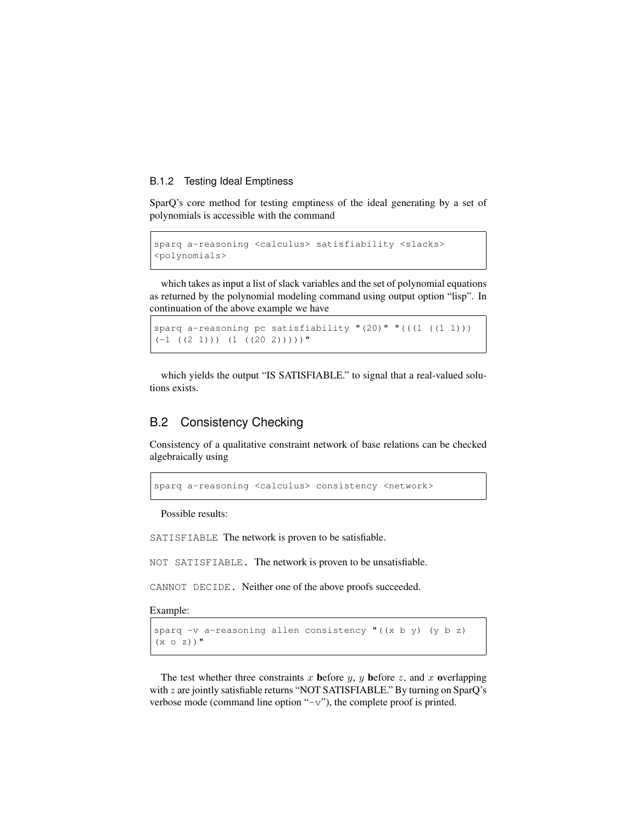#### B.1.2 Testing Ideal Emptiness

SparQ's core method for testing emptiness of the ideal generating by a set of polynomials is accessible with the command

```
sparq a-reasoning <calculus> satisfiability <slacks>
<polynomials>
```
which takes as input a list of slack variables and the set of polynomial equations as returned by the polynomial modeling command using output option "lisp". In continuation of the above example we have

```
sparq a-reasoning pc satisfiability "(20)" "((1 (1 1)))(-1 ((2 1)))(1 ((20 2)))))
```
which yields the output "IS SATISFIABLE." to signal that a real-valued solutions exists.

# B.2 Consistency Checking

Consistency of a qualitative constraint network of base relations can be checked algebraically using

sparq a-reasoning <calculus> consistency <network>

Possible results:

SATISFIABLE The network is proven to be satisfiable.

NOT SATISFIABLE. The network is proven to be unsatisfiable.

CANNOT DECIDE. Neither one of the above proofs succeeded.

Example:

```
sparq -v a-reasoning allen consistency "((x b y) (y b z))(x o z))"
```
The test whether three constraints x before y, y before z, and x overlapping with z are jointly satisfiable returns "NOT SATISFIABLE." By turning on SparQ's verbose mode (command line option " $-v$ "), the complete proof is printed.